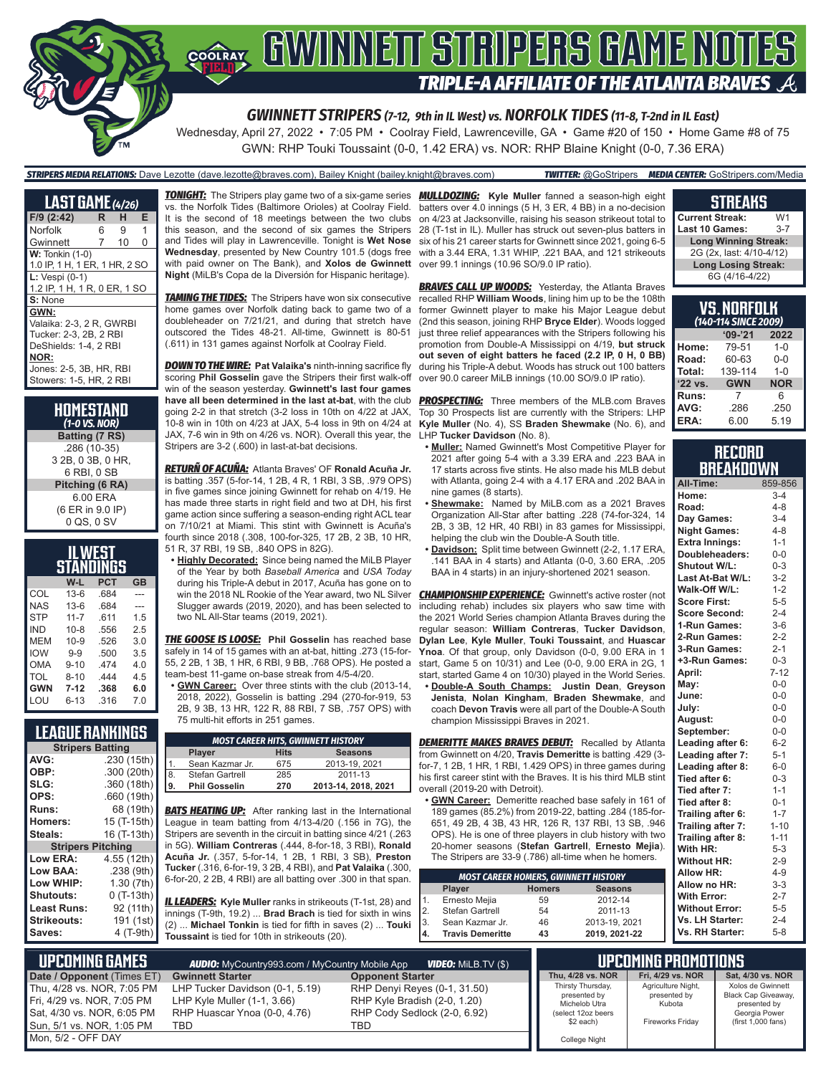

*GWINNETT STRIPERS (7-12, 9th in IL West) vs. NORFOLK TIDES (11-8, T-2nd in IL East)*

Wednesday, April 27, 2022 • 7:05 PM • Coolray Field, Lawrenceville, GA • Game #20 of 150 • Home Game #8 of 75 GWN: RHP Touki Toussaint (0-0, 1.42 ERA) vs. NOR: RHP Blaine Knight (0-0, 7.36 ERA)

### *STRIPERS MEDIA RELATIONS:* Dave Lezotte (dave.lezotte@braves.com), Bailey Knight (bailey.knight@braves.com) *TWITTER:* @GoStripers *MEDIA CENTER:* GoStripers.com/Media

| <b>LAST GAME</b> (4/26)       |                |    |   |  |  |  |  |
|-------------------------------|----------------|----|---|--|--|--|--|
| F/9 (2:42)                    | R              | н  | E |  |  |  |  |
| Norfolk                       | 6              | 9  | 1 |  |  |  |  |
| Gwinnett                      | $\overline{7}$ | 10 | 0 |  |  |  |  |
| $W:$ Tonkin $(1-0)$           |                |    |   |  |  |  |  |
| 1.0 IP, 1 H, 1 ER, 1 HR, 2 SO |                |    |   |  |  |  |  |
| $L: Vespi (0-1)$              |                |    |   |  |  |  |  |
| 1.2 IP, 1 H, 1 R, 0 ER, 1 SO  |                |    |   |  |  |  |  |
| S: None                       |                |    |   |  |  |  |  |
| GWN:                          |                |    |   |  |  |  |  |
| Valaika: 2-3, 2 R. GWRBI      |                |    |   |  |  |  |  |
| Tucker: 2-3, 2B, 2 RBI        |                |    |   |  |  |  |  |
| DeShields: 1-4. 2 RBI         |                |    |   |  |  |  |  |
| NOR:                          |                |    |   |  |  |  |  |
| Jones: 2-5, 3B, HR, RBI       |                |    |   |  |  |  |  |
| Stowers: 1-5, HR, 2 RBI       |                |    |   |  |  |  |  |
|                               |                |    |   |  |  |  |  |

**HOMESTAND** *(1-0 VS. NOR)* **Batting (7 RS)** .286 (10-35) 3 2B, 0 3B, 0 HR, 6 RBI, 0 SB **Pitching (6 RA)** 6.00 ERA (6 ER in 9.0 IP) 0 QS, 0 SV

| LWEST      |           |            |           |  |  |  |  |  |
|------------|-----------|------------|-----------|--|--|--|--|--|
|            | STANDINGS |            |           |  |  |  |  |  |
|            | W-L       | <b>PCT</b> | <b>GB</b> |  |  |  |  |  |
| COL        | $13-6$    | .684       |           |  |  |  |  |  |
| <b>NAS</b> | $13-6$    | .684       |           |  |  |  |  |  |
| <b>STP</b> | $11 - 7$  | 611        | 1.5       |  |  |  |  |  |
| <b>IND</b> | $10 - 8$  | .556       | 25        |  |  |  |  |  |
| MEM        | $10 - 9$  | .526       | 3.0       |  |  |  |  |  |
| <b>IOW</b> | $9 - 9$   | .500       | 3.5       |  |  |  |  |  |
| OMA        | $9 - 10$  | 474        | 4.0       |  |  |  |  |  |
| TOL        | $8 - 10$  | 444        | 4.5       |  |  |  |  |  |
| <b>GWN</b> | $7-12$    | .368       | 6.0       |  |  |  |  |  |
| LOU        | 6-13      | .316       | 7.0       |  |  |  |  |  |

### **LEAGUE RANKINGS**

| AVG:<br>.230 (15th)<br>OBP:<br>.300 (20th)<br>SLG:<br>.360 (18th)<br>OPS:<br>.660 (19th)<br>68 (19th)<br><b>Runs:</b><br>15 (T-15th)<br><b>Homers:</b><br>Steals:<br>16 (T-13th)<br><b>Stripers Pitching</b><br><b>Low ERA:</b><br>4.55 (12th)<br>Low BAA:<br>.238 (9th)<br>Low WHIP:<br>1.30(7th)<br>$0(T-13th)$<br>Shutouts:<br>92 (11th)<br><b>Least Runs:</b><br><b>Strikeouts:</b><br>191 (1st) | <b>Stripers Batting</b> |           |  |  |  |  |  |
|------------------------------------------------------------------------------------------------------------------------------------------------------------------------------------------------------------------------------------------------------------------------------------------------------------------------------------------------------------------------------------------------------|-------------------------|-----------|--|--|--|--|--|
|                                                                                                                                                                                                                                                                                                                                                                                                      |                         |           |  |  |  |  |  |
|                                                                                                                                                                                                                                                                                                                                                                                                      |                         |           |  |  |  |  |  |
|                                                                                                                                                                                                                                                                                                                                                                                                      |                         |           |  |  |  |  |  |
|                                                                                                                                                                                                                                                                                                                                                                                                      |                         |           |  |  |  |  |  |
|                                                                                                                                                                                                                                                                                                                                                                                                      |                         |           |  |  |  |  |  |
|                                                                                                                                                                                                                                                                                                                                                                                                      |                         |           |  |  |  |  |  |
|                                                                                                                                                                                                                                                                                                                                                                                                      |                         |           |  |  |  |  |  |
|                                                                                                                                                                                                                                                                                                                                                                                                      |                         |           |  |  |  |  |  |
|                                                                                                                                                                                                                                                                                                                                                                                                      |                         |           |  |  |  |  |  |
|                                                                                                                                                                                                                                                                                                                                                                                                      |                         |           |  |  |  |  |  |
|                                                                                                                                                                                                                                                                                                                                                                                                      |                         |           |  |  |  |  |  |
|                                                                                                                                                                                                                                                                                                                                                                                                      |                         |           |  |  |  |  |  |
|                                                                                                                                                                                                                                                                                                                                                                                                      |                         |           |  |  |  |  |  |
|                                                                                                                                                                                                                                                                                                                                                                                                      |                         |           |  |  |  |  |  |
|                                                                                                                                                                                                                                                                                                                                                                                                      | Saves:                  | 4 (T-9th) |  |  |  |  |  |

Sun, 5/1 vs. NOR, 1:05 PM Mon, 5/2 - OFF DAY

vs. the Norfolk Tides (Baltimore Orioles) at Coolray Field. It is the second of 18 meetings between the two clubs this season, and the second of six games the Stripers and Tides will play in Lawrenceville. Tonight is **Wet Nose Wednesday**, presented by New Country 101.5 (dogs free with paid owner on The Bank), and **Xolos de Gwinnett Night** (MiLB's Copa de la Diversión for Hispanic heritage).

**TAMING THE TIDES:** The Stripers have won six consecutive home games over Norfolk dating back to game two of a doubleheader on 7/21/21, and during that stretch have outscored the Tides 48-21. All-time, Gwinnett is 80-51 (.611) in 131 games against Norfolk at Coolray Field.

*DOWN TO THE WIRE:* **Pat Valaika's** ninth-inning sacrifice fly scoring **Phil Gosselin** gave the Stripers their first walk-off win of the season yesterday. **Gwinnett's last four games have all been determined in the last at-bat**, with the club going 2-2 in that stretch (3-2 loss in 10th on 4/22 at JAX, 10-8 win in 10th on 4/23 at JAX, 5-4 loss in 9th on 4/24 at JAX, 7-6 win in 9th on 4/26 vs. NOR). Overall this year, the Stripers are 3-2 (.600) in last-at-bat decisions.

*RETURÑ OF ACUÑA:* Atlanta Braves' OF **Ronald Acuña Jr.** is batting .357 (5-for-14, 1 2B, 4 R, 1 RBI, 3 SB, .979 OPS) in five games since joining Gwinnett for rehab on 4/19. He has made three starts in right field and two at DH, his first game action since suffering a season-ending right ACL tear on 7/10/21 at Miami. This stint with Gwinnett is Acuña's fourth since 2018 (.308, 100-for-325, 17 2B, 2 3B, 10 HR, 51 R, 37 RBI, 19 SB, .840 OPS in 82G).

**• Highly Decorated:** Since being named the MiLB Player of the Year by both *Baseball America* and *USA Today* during his Triple-A debut in 2017, Acuña has gone on to win the 2018 NL Rookie of the Year award, two NL Silver Slugger awards (2019, 2020), and has been selected to two NL All-Star teams (2019, 2021).

*THE GOOSE IS LOOSE:* **Phil Gosselin** has reached base safely in 14 of 15 games with an at-bat, hitting .273 (15-for-55, 2 2B, 1 3B, 1 HR, 6 RBI, 9 BB, .768 OPS). He posted a team-best 11-game on-base streak from 4/5-4/20.

**• GWN Career:** Over three stints with the club (2013-14, 2018, 2022), Gosselin is batting .294 (270-for-919, 53 2B, 9 3B, 13 HR, 122 R, 88 RBI, 7 SB, .757 OPS) with 75 multi-hit efforts in 251 games.

| <b>MOST CAREER HITS, GWINNETT HISTORY</b> |                      |             |                     |  |  |  |  |
|-------------------------------------------|----------------------|-------------|---------------------|--|--|--|--|
|                                           | <b>Player</b>        | <b>Hits</b> | <b>Seasons</b>      |  |  |  |  |
|                                           | Sean Kazmar Jr.      | 675         | 2013-19, 2021       |  |  |  |  |
| 8.                                        | Stefan Gartrell      | 285         | 2011-13             |  |  |  |  |
| ۱۹.                                       | <b>Phil Gosselin</b> | 270         | 2013-14, 2018, 2021 |  |  |  |  |
|                                           |                      |             |                     |  |  |  |  |

**BATS HEATING UP:** After ranking last in the International League in team batting from 4/13-4/20 (.156 in 7G), the Stripers are seventh in the circuit in batting since 4/21 (.263 in 5G). **William Contreras** (.444, 8-for-18, 3 RBI), **Ronald Acuña Jr.** (.357, 5-for-14, 1 2B, 1 RBI, 3 SB), **Preston Tucker** (.316, 6-for-19, 3 2B, 4 RBI), and **Pat Valaika** (.300, 6-for-20, 2 2B, 4 RBI) are all batting over .300 in that span.

*IL LEADERS:* **Kyle Muller** ranks in strikeouts (T-1st, 28) and innings (T-9th, 19.2) ... **Brad Brach** is tied for sixth in wins (2) ... **Michael Tonkin** is tied for fifth in saves (2) ... **Touki Toussaint** is tied for 10th in strikeouts (20).

*TONIGHT:* The Stripers play game two of a six-game series *MULLDOZING:* **Kyle Muller** fanned a season-high eight batters over 4.0 innings (5 H, 3 ER, 4 BB) in a no-decision on 4/23 at Jacksonville, raising his season strikeout total to 28 (T-1st in IL). Muller has struck out seven-plus batters in six of his 21 career starts for Gwinnett since 2021, going 6-5 with a 3.44 ERA, 1.31 WHIP, .221 BAA, and 121 strikeouts over 99.1 innings (10.96 SO/9.0 IP ratio).

> **BRAVES CALL UP WOODS:** Yesterday, the Atlanta Braves recalled RHP **William Woods**, lining him up to be the 108th former Gwinnett player to make his Major League debut (2nd this season, joining RHP **Bryce Elder**). Woods logged just three relief appearances with the Stripers following his promotion from Double-A Mississippi on 4/19, **but struck out seven of eight batters he faced (2.2 IP, 0 H, 0 BB)** during his Triple-A debut. Woods has struck out 100 batters over 90.0 career MiLB innings (10.00 SO/9.0 IP ratio).

> **PROSPECTING:** Three members of the MLB.com Braves Top 30 Prospects list are currently with the Stripers: LHP **Kyle Muller** (No. 4), SS **Braden Shewmake** (No. 6), and LHP **Tucker Davidson** (No. 8).

- **• Muller:** Named Gwinnett's Most Competitive Player for 2021 after going 5-4 with a 3.39 ERA and .223 BAA in 17 starts across five stints. He also made his MLB debut with Atlanta, going 2-4 with a 4.17 ERA and .202 BAA in nine games (8 starts).
- **• Shewmake:** Named by MiLB.com as a 2021 Braves Organization All-Star after batting .228 (74-for-324, 14 2B, 3 3B, 12 HR, 40 RBI) in 83 games for Mississippi, helping the club win the Double-A South title.
- **• Davidson:** Split time between Gwinnett (2-2, 1.17 ERA, .141 BAA in 4 starts) and Atlanta (0-0, 3.60 ERA, .205 BAA in 4 starts) in an injury-shortened 2021 season.

**CHAMPIONSHIP EXPERIENCE:** Gwinnett's active roster (not including rehab) includes six players who saw time with the 2021 World Series champion Atlanta Braves during the regular season: **William Contreras**, **Tucker Davidson**, **Dylan Lee**, **Kyle Muller**, **Touki Toussaint**, and **Huascar Ynoa**. Of that group, only Davidson (0-0, 9.00 ERA in 1 start, Game 5 on 10/31) and Lee (0-0, 9.00 ERA in 2G, 1 start, started Game 4 on 10/30) played in the World Series.

**• Double-A South Champs: Justin Dean**, **Greyson Jenista**, **Nolan Kingham**, **Braden Shewmake**, and coach **Devon Travis** were all part of the Double-A South champion Mississippi Braves in 2021.

*DEMERITTE MAKES BRAVES DEBUT:* Recalled by Atlanta from Gwinnett on 4/20, **Travis Demeritte** is batting .429 (3 for-7, 1 2B, 1 HR, 1 RBI, 1.429 OPS) in three games during his first career stint with the Braves. It is his third MLB stint overall (2019-20 with Detroit).

**• GWN Career:** Demeritte reached base safely in 161 of 189 games (85.2%) from 2019-22, batting .284 (185-for-651, 49 2B, 4 3B, 43 HR, 126 R, 137 RBI, 13 SB, .946 OPS). He is one of three players in club history with two 20-homer seasons (**Stefan Gartrell**, **Ernesto Mejia**). The Stripers are 33-9 (.786) all-time when he homers.

| <b>MOST CAREER HOMERS, GWINNETT HISTORY</b> |               |                |  |  |  |  |  |  |  |
|---------------------------------------------|---------------|----------------|--|--|--|--|--|--|--|
| Player                                      | <b>Homers</b> | <b>Seasons</b> |  |  |  |  |  |  |  |
| Ernesto Mejia                               | 59            | 2012-14        |  |  |  |  |  |  |  |
| Stefan Gartrell                             | 54            | 2011-13        |  |  |  |  |  |  |  |
| Sean Kazmar Jr.                             | 46            | 2013-19, 2021  |  |  |  |  |  |  |  |
| <b>Travis Demeritte</b>                     | 43            | 2019, 2021-22  |  |  |  |  |  |  |  |
|                                             |               |                |  |  |  |  |  |  |  |

#### **STREAKS Current Streak:** W1<br>Last 10 Games: 3-7 **Lamber 10 Gamps**

| Last τν Uallics.<br>$\cdot$ $\cdot$ $\cdot$ |  |
|---------------------------------------------|--|
| <b>Long Winning Streak:</b>                 |  |
| 2G (2x, last: 4/10-4/12)                    |  |
| <b>Long Losing Streak:</b>                  |  |
| 6G (4/16-4/22)                              |  |

| <b>VS.NORFOLK</b><br>(140-114 SINCE 2009) |            |            |  |  |  |  |  |
|-------------------------------------------|------------|------------|--|--|--|--|--|
|                                           | $'09-'21$  | 2022       |  |  |  |  |  |
| Home:                                     | 79-51      | $1 - 0$    |  |  |  |  |  |
| Road:                                     | 60-63      | $0 - 0$    |  |  |  |  |  |
| Total:                                    | 139-114    | $1 - 0$    |  |  |  |  |  |
| '22 vs.                                   | <b>GWN</b> | <b>NOR</b> |  |  |  |  |  |
| Runs:                                     | 7          | 6          |  |  |  |  |  |
| AVG:                                      | .286       | .250       |  |  |  |  |  |
| ERA:                                      | 6.00       | 5.19       |  |  |  |  |  |

### **RECORD BREAKDOWN**

| All-Time:             | 859-856  |
|-----------------------|----------|
| Home:                 | $3 - 4$  |
| Road:                 | $4 - 8$  |
| Day Games:            | $3 - 4$  |
| <b>Night Games:</b>   | $4 - 8$  |
| <b>Extra Innings:</b> | $1 - 1$  |
| Doubleheaders:        | $0-0$    |
| Shutout W/L:          | $0 - 3$  |
| Last At-Bat W/L:      | $3 - 2$  |
| Walk-Off W/L:         | $1 - 2$  |
| <b>Score First:</b>   | $5 - 5$  |
| <b>Score Second:</b>  | $2 - 4$  |
| 1-Run Games:          | $3-6$    |
| 2-Run Games:          | $2 - 2$  |
| 3-Run Games:          | $2 - 1$  |
| +3-Run Games:         | $0 - 3$  |
| April:                | $7 - 12$ |
| May:                  | $0-0$    |
| June:                 | 0-0      |
| July:                 | $0-0$    |
| August:               | $0-0$    |
| September:            | $0 - 0$  |
| Leading after 6:      | $6 - 2$  |
| Leading after 7:      | $5 - 1$  |
| Leading after 8:      | $6-0$    |
| Tied after 6:         | $0 - 3$  |
| Tied after 7:         | $1 - 1$  |
| Tied after 8:         | $0 - 1$  |
| Trailing after 6:     | $1 - 7$  |
| Trailing after 7:     | $1 - 10$ |
| Trailing after 8:     | $1 - 11$ |
| With HR:              | $5 - 3$  |
| <b>Without HR:</b>    | $2 - 9$  |
| <b>Allow HR:</b>      | $4 - 9$  |
| Allow no HR:          | $3 - 3$  |
| <b>With Error:</b>    | $2 - 7$  |
| <b>Without Error:</b> | $5 - 5$  |
| Vs. LH Starter:       | $2 - 4$  |
| Vs. RH Starter:       | $5 - 8$  |

**UPCOMING PROMOTIONS Thu, 4/28 vs. NOR Fri, 4/29 vs. NOR Sat, 4/30 vs. NOR** Thirsty Thursday, presented by Michelob Utra (select 12oz beers \$2 each) College Night Agriculture Night, presented by Kubota Fireworks Friday Xolos de Gwinnett Black Cap Giveaway, presented by Georgia Power (first 1,000 fans)  **UPCOMING GAMES** *AUDIO:* MyCountry993.com / MyCountry Mobile App *VIDEO:* MiLB.TV (\$) **Date / Opponent (Times ET) Gwinnett Starter Change of Change Opponent Starter**<br>Thu, 4/28 vs. NOR, 7:05 PM LHP Tucker Davidson (0-1, 5.19) RHP Denyi Reyes Thu, 4/28 vs. NOR, 7:05 PM LHP Tucker Davidson (0-1, 5.19) RHP Denyi Reyes (0-1, 31.50) Fri, 4/29 vs. NOR, 7:05 PM LHP Kyle Muller (1-1, 3.66)<br>Sat, 4/30 vs. NOR, 6:05 PM RHP Huascar Ynoa (0-0, 4.76) RHP Huascar Ynoa (0-0, 4.76) RHP Cody Sedlock (2-0, 6.92)<br>TBD TBD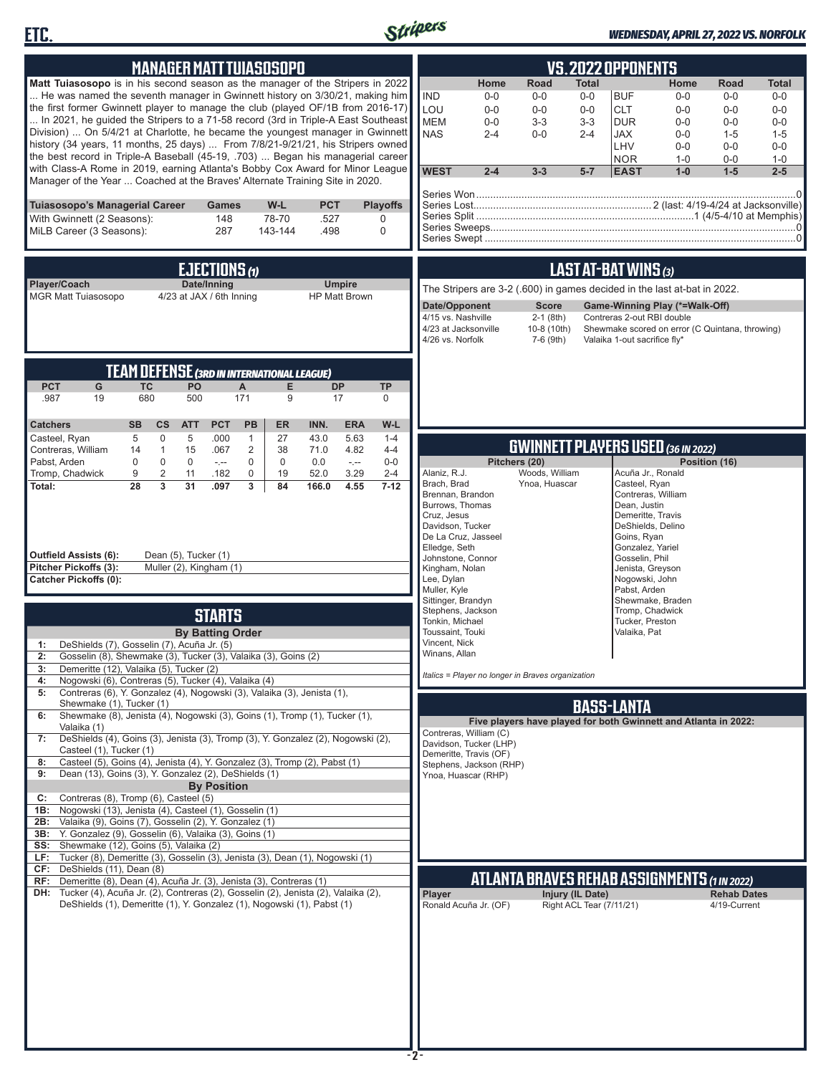



## *WEDNESDAY, APRIL 27, 2022 VS. NORFOLK*

|                                                                                                                                                               |                  | <b>MANAGER MATT TUIASOSOPO</b>                    |                         |                            |                   |             |                      |                  |                                      |                                                  |                                                                          |                          | VS.2022 OPPONENTS                  |                                                 |                      |                |
|---------------------------------------------------------------------------------------------------------------------------------------------------------------|------------------|---------------------------------------------------|-------------------------|----------------------------|-------------------|-------------|----------------------|------------------|--------------------------------------|--------------------------------------------------|--------------------------------------------------------------------------|--------------------------|------------------------------------|-------------------------------------------------|----------------------|----------------|
|                                                                                                                                                               |                  |                                                   |                         |                            |                   |             |                      |                  |                                      |                                                  |                                                                          |                          |                                    |                                                 |                      |                |
| Matt Tuiasosopo is in his second season as the manager of the Stripers in 2022<br>He was named the seventh manager in Gwinnett history on 3/30/21, making him |                  |                                                   |                         |                            |                   |             |                      |                  | <b>IND</b>                           | Home<br>$0-0$                                    | Road<br>$0-0$                                                            | <b>Total</b><br>$0-0$    | <b>BUF</b>                         | Home<br>$0-0$                                   | <b>Road</b><br>$0-0$ | Total<br>$0-0$ |
| the first former Gwinnett player to manage the club (played OF/1B from 2016-17)                                                                               |                  |                                                   |                         |                            |                   |             |                      |                  | LOU                                  | $0 - 0$                                          | $0-0$                                                                    | $0-0$                    | <b>CLT</b>                         | $0-0$                                           | $0 - 0$              | $0 - 0$        |
| In 2021, he guided the Stripers to a 71-58 record (3rd in Triple-A East Southeast                                                                             |                  |                                                   |                         |                            |                   |             |                      |                  | <b>MEM</b>                           | $0-0$                                            | $3 - 3$                                                                  | $3-3$                    | <b>DUR</b>                         | $0-0$                                           | $0 - 0$              | $0-0$          |
| Division)  On 5/4/21 at Charlotte, he became the youngest manager in Gwinnett                                                                                 |                  |                                                   |                         |                            |                   |             |                      |                  | <b>NAS</b>                           | $2 - 4$                                          | $0 - 0$                                                                  | $2 - 4$                  | <b>JAX</b>                         | $0 - 0$                                         | $1 - 5$              | $1 - 5$        |
| history (34 years, 11 months, 25 days)  From 7/8/21-9/21/21, his Stripers owned                                                                               |                  |                                                   |                         |                            |                   |             |                      |                  |                                      |                                                  |                                                                          |                          | LHV                                | $0-0$                                           | $0 - 0$              | $0-0$          |
| the best record in Triple-A Baseball (45-19, .703)  Began his managerial career                                                                               |                  |                                                   |                         |                            |                   |             |                      |                  |                                      |                                                  |                                                                          |                          | <b>NOR</b>                         | $1 - 0$                                         | $0-0$                | $1 - 0$        |
| with Class-A Rome in 2019, earning Atlanta's Bobby Cox Award for Minor League<br>Manager of the Year  Coached at the Braves' Alternate Training Site in 2020. |                  |                                                   |                         |                            |                   |             |                      |                  | <b>WEST</b>                          | $2 - 4$                                          | $3 - 3$                                                                  | $5 - 7$                  | <b>EAST</b>                        | $1-0$                                           | $1-5$                | $2 - 5$        |
|                                                                                                                                                               |                  |                                                   |                         |                            |                   |             |                      |                  |                                      |                                                  |                                                                          |                          |                                    |                                                 |                      |                |
| Tuiasosopo's Managerial Career                                                                                                                                |                  |                                                   | Games                   |                            | W-L               | <b>PCT</b>  |                      | <b>Playoffs</b>  |                                      |                                                  |                                                                          |                          |                                    |                                                 |                      |                |
| With Gwinnett (2 Seasons):                                                                                                                                    |                  |                                                   | 148                     |                            | 78-70             | .527        |                      | 0                |                                      |                                                  |                                                                          |                          |                                    |                                                 |                      |                |
| MiLB Career (3 Seasons):                                                                                                                                      |                  |                                                   | 287                     |                            | 143-144           | .498        |                      | 0                |                                      |                                                  |                                                                          |                          |                                    |                                                 |                      |                |
|                                                                                                                                                               |                  |                                                   |                         |                            |                   |             |                      |                  |                                      |                                                  |                                                                          |                          |                                    |                                                 |                      |                |
|                                                                                                                                                               |                  |                                                   | EJECTIONS (1)           |                            |                   |             |                      |                  |                                      |                                                  |                                                                          |                          | LAST AT-BAT WINS (3)               |                                                 |                      |                |
| Player/Coach                                                                                                                                                  |                  |                                                   | Date/Inning             |                            |                   |             | <b>Umpire</b>        |                  |                                      |                                                  |                                                                          |                          |                                    |                                                 |                      |                |
| <b>MGR Matt Tuiasosopo</b>                                                                                                                                    |                  | 4/23 at JAX / 6th Inning                          |                         |                            |                   |             | <b>HP Matt Brown</b> |                  |                                      |                                                  | The Stripers are 3-2 (.600) in games decided in the last at-bat in 2022. |                          |                                    |                                                 |                      |                |
|                                                                                                                                                               |                  |                                                   |                         |                            |                   |             |                      |                  | Date/Opponent                        |                                                  | <b>Score</b>                                                             |                          |                                    | Game-Winning Play (*=Walk-Off)                  |                      |                |
|                                                                                                                                                               |                  |                                                   |                         |                            |                   |             |                      |                  | 4/15 vs. Nashville                   | 4/23 at Jacksonville                             | $2-1$ (8th)<br>10-8 (10th)                                               |                          | Contreras 2-out RBI double         | Shewmake scored on error (C Quintana, throwing) |                      |                |
|                                                                                                                                                               |                  |                                                   |                         |                            |                   |             |                      |                  | 4/26 vs. Norfolk                     |                                                  | 7-6 (9th)                                                                |                          | Valaika 1-out sacrifice fly*       |                                                 |                      |                |
|                                                                                                                                                               |                  |                                                   |                         |                            |                   |             |                      |                  |                                      |                                                  |                                                                          |                          |                                    |                                                 |                      |                |
|                                                                                                                                                               |                  | <b>TEAM DEFENSE (3RD IN INTERNATIONAL LEAGUE)</b> |                         |                            |                   |             |                      |                  |                                      |                                                  |                                                                          |                          |                                    |                                                 |                      |                |
| <b>PCT</b><br>G                                                                                                                                               | <b>TC</b>        | PO                                                |                         | A                          | E.                |             | <b>DP</b>            | <b>TP</b>        |                                      |                                                  |                                                                          |                          |                                    |                                                 |                      |                |
| .987<br>19                                                                                                                                                    | 680              | 500                                               |                         | 171                        | 9                 |             | 17                   | 0                |                                      |                                                  |                                                                          |                          |                                    |                                                 |                      |                |
|                                                                                                                                                               |                  |                                                   |                         |                            |                   |             |                      |                  |                                      |                                                  |                                                                          |                          |                                    |                                                 |                      |                |
| <b>Catchers</b>                                                                                                                                               | <b>SB</b>        | $\mathsf{cs}$<br><b>ATT</b>                       | <b>PCT</b>              | <b>PB</b>                  | <b>ER</b>         | INN.        | <b>ERA</b>           | W-L              |                                      |                                                  |                                                                          |                          |                                    |                                                 |                      |                |
| Casteel, Ryan                                                                                                                                                 | 5                | $\mathbf 0$<br>5                                  | .000                    | $\mathbf{1}$               | 27                | 43.0        | 5.63                 | $1 - 4$          |                                      |                                                  | <b>GWINNETT PLAYERS USED (36 IN 2022)</b>                                |                          |                                    |                                                 |                      |                |
| Contreras, William                                                                                                                                            | 14               | $\mathbf{1}$<br>15                                | .067                    | 2                          | 38                | 71.0        | 4.82                 | $4 - 4$          |                                      |                                                  |                                                                          |                          |                                    |                                                 |                      |                |
| Pabst, Arden<br>Tromp, Chadwick                                                                                                                               | $\mathbf 0$<br>9 | $\mathbf 0$<br>0<br>$\overline{2}$<br>11          | $-1$<br>.182            | $\mathbf 0$<br>$\mathbf 0$ | $\mathbf 0$<br>19 | 0.0<br>52.0 | $\sim$<br>3.29       | $0-0$<br>$2 - 4$ | Alaniz, R.J.                         |                                                  | Pitchers (20)<br>Woods, William                                          |                          |                                    | Acuña Jr., Ronald                               | Position (16)        |                |
| Total:                                                                                                                                                        | 28               | $\overline{3}$<br>31                              | .097                    | 3                          | 84                | 166.0       | 4.55                 | $7 - 12$         | Brach, Brad                          |                                                  | Ynoa, Huascar                                                            |                          | Casteel, Ryan                      |                                                 |                      |                |
|                                                                                                                                                               |                  |                                                   |                         |                            |                   |             |                      |                  | Brennan, Brandon                     |                                                  |                                                                          |                          |                                    | Contreras, William                              |                      |                |
|                                                                                                                                                               |                  |                                                   |                         |                            |                   |             |                      |                  | Burrows, Thomas<br>Cruz, Jesus       |                                                  |                                                                          |                          | Dean, Justin<br>Demeritte, Travis  |                                                 |                      |                |
|                                                                                                                                                               |                  |                                                   |                         |                            |                   |             |                      |                  | Davidson, Tucker                     |                                                  |                                                                          |                          |                                    | DeShields, Delino                               |                      |                |
|                                                                                                                                                               |                  |                                                   |                         |                            |                   |             |                      |                  | Elledge, Seth                        | De La Cruz, Jasseel                              |                                                                          |                          | Goins, Ryan<br>Gonzalez, Yariel    |                                                 |                      |                |
| Outfield Assists (6):                                                                                                                                         |                  | Dean (5), Tucker (1)                              |                         |                            |                   |             |                      |                  |                                      | Johnstone, Connor                                |                                                                          |                          | Gosselin, Phil                     |                                                 |                      |                |
| Pitcher Pickoffs (3):                                                                                                                                         |                  | Muller (2), Kingham (1)                           |                         |                            |                   |             |                      |                  | Kingham, Nolan                       |                                                  |                                                                          |                          | Jenista, Greyson                   |                                                 |                      |                |
| <b>Catcher Pickoffs (0):</b>                                                                                                                                  |                  |                                                   |                         |                            |                   |             |                      |                  | Lee, Dylan<br>Muller, Kyle           |                                                  |                                                                          |                          | Nogowski, John<br>Pabst, Arden     |                                                 |                      |                |
|                                                                                                                                                               |                  |                                                   |                         |                            |                   |             |                      |                  | Sittinger, Brandyn                   |                                                  |                                                                          |                          |                                    | Shewmake, Braden                                |                      |                |
|                                                                                                                                                               |                  |                                                   | <b>STARTS</b>           |                            |                   |             |                      |                  | Stephens, Jackson<br>Tonkin, Michael |                                                  |                                                                          |                          | Tromp, Chadwick<br>Tucker, Preston |                                                 |                      |                |
|                                                                                                                                                               |                  |                                                   | <b>By Batting Order</b> |                            |                   |             |                      |                  | Toussaint, Touki                     |                                                  |                                                                          |                          | Valaika, Pat                       |                                                 |                      |                |
| DeShields (7), Gosselin (7), Acuña Jr. (5)<br>1:                                                                                                              |                  |                                                   |                         |                            |                   |             |                      |                  | Vincent, Nick                        |                                                  |                                                                          |                          |                                    |                                                 |                      |                |
| Gosselin (8), Shewmake (3), Tucker (3), Valaika (3), Goins (2)<br>2:                                                                                          |                  |                                                   |                         |                            |                   |             |                      |                  | Winans, Allan                        |                                                  |                                                                          |                          |                                    |                                                 |                      |                |
| Demeritte (12), Valaika (5), Tucker (2)<br>3:                                                                                                                 |                  |                                                   |                         |                            |                   |             |                      |                  |                                      |                                                  | Italics = Player no longer in Braves organization                        |                          |                                    |                                                 |                      |                |
| Nogowski (6), Contreras (5), Tucker (4), Valaika (4)<br>4:<br>Contreras (6), Y. Gonzalez (4), Nogowski (3), Valaika (3), Jenista (1),<br>5:                   |                  |                                                   |                         |                            |                   |             |                      |                  |                                      |                                                  |                                                                          |                          |                                    |                                                 |                      |                |
| Shewmake (1), Tucker (1)                                                                                                                                      |                  |                                                   |                         |                            |                   |             |                      |                  |                                      |                                                  |                                                                          |                          | <b>BASS-LANTA</b>                  |                                                 |                      |                |
| Shewmake (8), Jenista (4), Nogowski (3), Goins (1), Tromp (1), Tucker (1),<br>6:                                                                              |                  |                                                   |                         |                            |                   |             |                      |                  |                                      |                                                  | Five players have played for both Gwinnett and Atlanta in 2022:          |                          |                                    |                                                 |                      |                |
| Valaika (1)<br>DeShields (4), Goins (3), Jenista (3), Tromp (3), Y. Gonzalez (2), Nogowski (2),<br>7:                                                         |                  |                                                   |                         |                            |                   |             |                      |                  |                                      | Contreras, William (C)                           |                                                                          |                          |                                    |                                                 |                      |                |
| Casteel (1), Tucker (1)                                                                                                                                       |                  |                                                   |                         |                            |                   |             |                      |                  |                                      | Davidson, Tucker (LHP)<br>Demeritte, Travis (OF) |                                                                          |                          |                                    |                                                 |                      |                |
| Casteel (5), Goins (4), Jenista (4), Y. Gonzalez (3), Tromp (2), Pabst (1)<br>8:                                                                              |                  |                                                   |                         |                            |                   |             |                      |                  |                                      | Stephens, Jackson (RHP)                          |                                                                          |                          |                                    |                                                 |                      |                |
| Dean (13), Goins (3), Y. Gonzalez (2), DeShields (1)<br>9:                                                                                                    |                  |                                                   |                         |                            |                   |             |                      |                  |                                      | Ynoa, Huascar (RHP)                              |                                                                          |                          |                                    |                                                 |                      |                |
|                                                                                                                                                               |                  |                                                   | <b>By Position</b>      |                            |                   |             |                      |                  |                                      |                                                  |                                                                          |                          |                                    |                                                 |                      |                |
| Contreras (8), Tromp (6), Casteel (5)<br>C:<br>Nogowski (13), Jenista (4), Casteel (1), Gosselin (1)<br>1B:                                                   |                  |                                                   |                         |                            |                   |             |                      |                  |                                      |                                                  |                                                                          |                          |                                    |                                                 |                      |                |
| Valaika (9), Goins (7), Gosselin (2), Y. Gonzalez (1)<br>2B:                                                                                                  |                  |                                                   |                         |                            |                   |             |                      |                  |                                      |                                                  |                                                                          |                          |                                    |                                                 |                      |                |
| 3B: Y. Gonzalez (9), Gosselin (6), Valaika (3), Goins (1)                                                                                                     |                  |                                                   |                         |                            |                   |             |                      |                  |                                      |                                                  |                                                                          |                          |                                    |                                                 |                      |                |
| SS: Shewmake (12), Goins (5), Valaika (2)                                                                                                                     |                  |                                                   |                         |                            |                   |             |                      |                  |                                      |                                                  |                                                                          |                          |                                    |                                                 |                      |                |
| LF: Tucker (8), Demeritte (3), Gosselin (3), Jenista (3), Dean (1), Nogowski (1)<br>CF: DeShields (11), Dean (8)                                              |                  |                                                   |                         |                            |                   |             |                      |                  |                                      |                                                  |                                                                          |                          |                                    |                                                 |                      |                |
| RF: Demeritte (8), Dean (4), Acuña Jr. (3), Jenista (3), Contreras (1)                                                                                        |                  |                                                   |                         |                            |                   |             |                      |                  |                                      |                                                  | ATLANTA BRAVES REHAB ASSIGNMENTS (1 IN 2022)                             |                          |                                    |                                                 |                      |                |
| DH: Tucker (4), Acuña Jr. (2), Contreras (2), Gosselin (2), Jenista (2), Valaika (2),                                                                         |                  |                                                   |                         |                            |                   |             |                      |                  | Player                               |                                                  |                                                                          | Injury (IL Date)         |                                    |                                                 | <b>Rehab Dates</b>   |                |
| DeShields (1), Demeritte (1), Y. Gonzalez (1), Nogowski (1), Pabst (1)                                                                                        |                  |                                                   |                         |                            |                   |             |                      |                  |                                      | Ronald Acuña Jr. (OF)                            |                                                                          | Right ACL Tear (7/11/21) |                                    |                                                 | 4/19-Current         |                |
|                                                                                                                                                               |                  |                                                   |                         |                            |                   |             |                      |                  |                                      |                                                  |                                                                          |                          |                                    |                                                 |                      |                |
|                                                                                                                                                               |                  |                                                   |                         |                            |                   |             |                      |                  |                                      |                                                  |                                                                          |                          |                                    |                                                 |                      |                |
|                                                                                                                                                               |                  |                                                   |                         |                            |                   |             |                      |                  |                                      |                                                  |                                                                          |                          |                                    |                                                 |                      |                |
|                                                                                                                                                               |                  |                                                   |                         |                            |                   |             |                      |                  |                                      |                                                  |                                                                          |                          |                                    |                                                 |                      |                |
|                                                                                                                                                               |                  |                                                   |                         |                            |                   |             |                      |                  |                                      |                                                  |                                                                          |                          |                                    |                                                 |                      |                |
|                                                                                                                                                               |                  |                                                   |                         |                            |                   |             |                      |                  |                                      |                                                  |                                                                          |                          |                                    |                                                 |                      |                |
|                                                                                                                                                               |                  |                                                   |                         |                            |                   |             |                      |                  |                                      |                                                  |                                                                          |                          |                                    |                                                 |                      |                |
|                                                                                                                                                               |                  |                                                   |                         |                            |                   |             |                      |                  |                                      |                                                  |                                                                          |                          |                                    |                                                 |                      |                |
|                                                                                                                                                               |                  |                                                   |                         |                            |                   |             |                      |                  |                                      |                                                  |                                                                          |                          |                                    |                                                 |                      |                |
|                                                                                                                                                               |                  |                                                   |                         |                            |                   |             |                      |                  |                                      |                                                  |                                                                          |                          |                                    |                                                 |                      |                |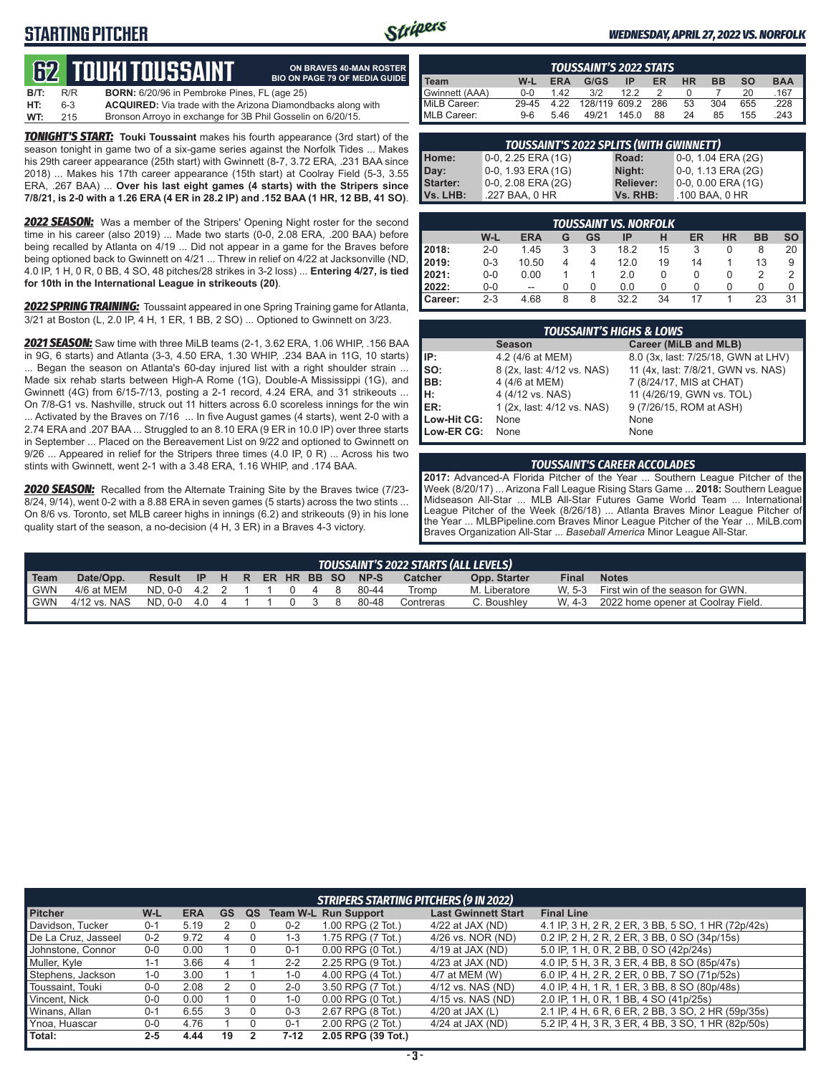# **STARTING PITCHER**



**ON BRAVES 40-MAN ROSTER BIO ON PAGE 79 OF MEDIA GUIDE**

### *WEDNESDAY, APRIL 27, 2022 VS. NORFOLK*

# **GUIKI TOUSSAIN**

| B/T: | R/R | <b>BORN:</b> 6/20/96 in Pembroke Pines, FL (age 25)                 |
|------|-----|---------------------------------------------------------------------|
| HT:  | 6-3 | <b>ACQUIRED:</b> Via trade with the Arizona Diamondbacks along with |
| WT:  | 215 | Bronson Arroyo in exchange for 3B Phil Gosselin on 6/20/15.         |

*TONIGHT'S START:* **Touki Toussaint** makes his fourth appearance (3rd start) of the season tonight in game two of a six-game series against the Norfolk Tides ... Makes his 29th career appearance (25th start) with Gwinnett (8-7, 3.72 ERA, .231 BAA since 2018) ... Makes his 17th career appearance (15th start) at Coolray Field (5-3, 3.55 ERA, .267 BAA) ... **Over his last eight games (4 starts) with the Stripers since 7/8/21, is 2-0 with a 1.26 ERA (4 ER in 28.2 IP) and .152 BAA (1 HR, 12 BB, 41 SO)**.

**2022 SEASON:** Was a member of the Stripers' Opening Night roster for the second time in his career (also 2019) ... Made two starts (0-0, 2.08 ERA, .200 BAA) before being recalled by Atlanta on 4/19 ... Did not appear in a game for the Braves before being optioned back to Gwinnett on 4/21 ... Threw in relief on 4/22 at Jacksonville (ND, 4.0 IP, 1 H, 0 R, 0 BB, 4 SO, 48 pitches/28 strikes in 3-2 loss) ... **Entering 4/27, is tied for 10th in the International League in strikeouts (20)**.

*2022 SPRING TRAINING:* Toussaint appeared in one Spring Training game for Atlanta, 3/21 at Boston (L, 2.0 IP, 4 H, 1 ER, 1 BB, 2 SO) ... Optioned to Gwinnett on 3/23.

*2021 SEASON:* Saw time with three MiLB teams (2-1, 3.62 ERA, 1.06 WHIP, .156 BAA in 9G, 6 starts) and Atlanta (3-3, 4.50 ERA, 1.30 WHIP, .234 BAA in 11G, 10 starts) ... Began the season on Atlanta's 60-day injured list with a right shoulder strain ... Made six rehab starts between High-A Rome (1G), Double-A Mississippi (1G), and Gwinnett (4G) from 6/15-7/13, posting a 2-1 record, 4.24 ERA, and 31 strikeouts ... On 7/8-G1 vs. Nashville, struck out 11 hitters across 6.0 scoreless innings for the win ... Activated by the Braves on 7/16 ... In five August games (4 starts), went 2-0 with a 2.74 ERA and .207 BAA ... Struggled to an 8.10 ERA (9 ER in 10.0 IP) over three starts in September ... Placed on the Bereavement List on 9/22 and optioned to Gwinnett on 9/26 ... Appeared in relief for the Stripers three times (4.0 IP, 0 R) ... Across his two stints with Gwinnett, went 2-1 with a 3.48 ERA, 1.16 WHIP, and .174 BAA.

*2020 SEASON:* Recalled from the Alternate Training Site by the Braves twice (7/23- 8/24, 9/14), went 0-2 with a 8.88 ERA in seven games (5 starts) across the two stints ... On 8/6 vs. Toronto, set MLB career highs in innings (6.2) and strikeouts (9) in his lone quality start of the season, a no-decision (4 H, 3 ER) in a Braves 4-3 victory.

| <b>TOUSSAINT'S 2022 STATS</b> |         |            |               |       |     |    |           |           |            |
|-------------------------------|---------|------------|---------------|-------|-----|----|-----------|-----------|------------|
| Team                          | W-L     | <b>ERA</b> | G/GS          | IP    | ER  | HR | <b>BB</b> | <b>SO</b> | <b>BAA</b> |
| Gwinnett (AAA)                | $0 - 0$ | 142        | 3/2           | 122   |     |    |           | 20        | .167       |
| MiLB Career:                  | 29-45   | 4.22       | 128/119 609.2 |       | 286 | 53 | 304       | 655       | .228       |
| MLB Career:                   | $9-6$   | 5.46       | 49/21         | 145.0 | 88  | 24 | 85        | 155       | .243       |

| <b>TOUSSAINT'S 2022 SPLITS (WITH GWINNETT)</b> |                    |                  |                    |  |  |  |  |  |
|------------------------------------------------|--------------------|------------------|--------------------|--|--|--|--|--|
| Home:                                          | 0-0, 2.25 ERA (1G) | Road:            | 0-0, 1.04 ERA (2G) |  |  |  |  |  |
| Day:                                           | 0-0, 1.93 ERA (1G) | Night:           | 0-0, 1.13 ERA (2G) |  |  |  |  |  |
| <b>Starter:</b>                                | 0-0, 2.08 ERA (2G) | <b>Reliever:</b> | 0-0, 0.00 ERA (1G) |  |  |  |  |  |
| Vs. LHB:                                       | .227 BAA, 0 HR     | Vs. RHB:         | .100 BAA, 0 HR     |  |  |  |  |  |
|                                                |                    |                  |                    |  |  |  |  |  |

|                  |         |            |   |    | <b>TOUSSAINT VS. NORFOLK</b> |    |    |           |           |    |
|------------------|---------|------------|---|----|------------------------------|----|----|-----------|-----------|----|
|                  | W-L     | <b>ERA</b> | G | GS | IP                           | Н  | ER | <b>HR</b> | <b>BB</b> | SO |
| <b>2018:</b>     | $2 - 0$ | 1.45       | 3 | 3  | 18.2                         | 15 | 3  | 0         | 8         | 20 |
| 2019:            | $0 - 3$ | 10.50      | 4 | 4  | 12.0                         | 19 | 14 |           | 13        | 9  |
| 2021:            | $0 - 0$ | 0.00       |   |    | 2.0                          |    | O  | 0         |           | 2  |
| <b>2022:</b>     | $0 - 0$ | $- -$      | ი |    | 0.0                          |    |    | 0         | 0         | 0  |
| <b>I</b> Career: | $2 - 3$ | 4.68       | 8 | 8  | 32.2                         | 34 | 17 |           | 23        | 31 |

|                               | <b>TOUSSAINT'S HIGHS &amp; LOWS</b> |                                     |
|-------------------------------|-------------------------------------|-------------------------------------|
|                               | <b>Season</b>                       | Career (MiLB and MLB)               |
| IP:<br>SO:<br>BB:             | 4.2 (4/6 at MEM)                    | 8.0 (3x, last: 7/25/18, GWN at LHV) |
|                               | 8 (2x, last: 4/12 vs. NAS)          | 11 (4x, last: 7/8/21, GWN vs. NAS)  |
|                               | 4 (4/6 at MEM)                      | 7 (8/24/17, MIS at CHAT)            |
| $\left  \frac{H}{ER} \right $ | 4 (4/12 vs. NAS)                    | 11 (4/26/19, GWN vs. TOL)           |
|                               | 1 (2x, last: 4/12 vs. NAS)          | 9 (7/26/15, ROM at ASH)             |
| Low-Hit CG:                   | None                                | None                                |
| Low-ER CG:                    | None                                | None                                |

### *TOUSSAINT'S CAREER ACCOLADES*

**2017:** Advanced-A Florida Pitcher of the Year ... Southern League Pitcher of the Week (8/20/17) ... Arizona Fall League Rising Stars Game ... **2018:** Southern League Midseason All-Star ... MLB All-Star Futures Game World Team ... International League Pitcher of the Week (8/26/18) ... Atlanta Braves Minor League Pitcher of the Year ... MLBPipeline.com Braves Minor League Pitcher of the Year ... MiLB.com Braves Organization All-Star ... *Baseball America* Minor League All-Star.

|            | TOUSSAINT'S 2022 STARTS (ALL LEVELS) |               |  |  |  |  |  |               |  |                         |                |               |              |                                         |
|------------|--------------------------------------|---------------|--|--|--|--|--|---------------|--|-------------------------|----------------|---------------|--------------|-----------------------------------------|
| Team       | Date/Opp.                            | Result        |  |  |  |  |  |               |  | IP H R ER HR BB SO NP-S | <b>Catcher</b> | Opp. Starter  | <b>Final</b> | <b>Notes</b>                            |
| <b>GWN</b> | 4/6 at MEM                           | ND. 0-0 4.2 2 |  |  |  |  |  | $0 \t 4 \t 8$ |  | 80-44                   | Tromp          | M. Liberatore |              | W. 5-3 First win of the season for GWN. |
| <b>GWN</b> | 4/12 vs. NAS                         | ND. 0-0 4.0 4 |  |  |  |  |  | $0 \quad 3$   |  | 80-48                   | Contreras      | C. Boushley   | W. 4-3       | 2022 home opener at Coolrav Field.      |
|            |                                      |               |  |  |  |  |  |               |  |                         |                |               |              |                                         |

| <b>STRIPERS STARTING PITCHERS (9 IN 2022)</b> |         |            |    |    |         |                             |                            |                                                    |  |
|-----------------------------------------------|---------|------------|----|----|---------|-----------------------------|----------------------------|----------------------------------------------------|--|
| <b>Pitcher</b>                                | W-L     | <b>ERA</b> | GS | QS |         | <b>Team W-L Run Support</b> | <b>Last Gwinnett Start</b> | <b>Final Line</b>                                  |  |
| Davidson, Tucker                              | $0 - 1$ | 5.19       |    |    | $0 - 2$ | 1.00 RPG (2 Tot.)           | 4/22 at JAX (ND)           | 4.1 IP, 3 H, 2 R, 2 ER, 3 BB, 5 SO, 1 HR (72p/42s) |  |
| De La Cruz, Jasseel                           | $0 - 2$ | 9.72       |    |    | $1 - 3$ | 1.75 RPG (7 Tot.)           | 4/26 vs. NOR (ND)          | 0.2 IP, 2 H, 2 R, 2 ER, 3 BB, 0 SO (34p/15s)       |  |
| Johnstone, Connor                             | $0-0$   | 0.00       |    |    | $0 - 1$ | $0.00$ RPG $(0$ Tot.)       | $4/19$ at JAX (ND)         | 5.0 IP, 1 H, 0 R, 2 BB, 0 SO (42p/24s)             |  |
| Muller, Kyle                                  | 1-1     | 3.66       |    |    | $2 - 2$ | 2.25 RPG (9 Tot.)           | $4/23$ at JAX (ND)         | 4.0 IP, 5 H, 3 R, 3 ER, 4 BB, 8 SO (85p/47s)       |  |
| Stephens, Jackson                             | 1-0     | 3.00       |    |    | 1-0     | 4.00 RPG (4 Tot.)           | 4/7 at MEM (W)             | 6.0 IP, 4 H, 2 R, 2 ER, 0 BB, 7 SO (71p/52s)       |  |
| Toussaint, Touki                              | $0-0$   | 2.08       |    |    | $2 - 0$ | 3.50 RPG (7 Tot.)           | 4/12 vs. NAS (ND)          | 4.0 IP, 4 H, 1 R, 1 ER, 3 BB, 8 SO (80p/48s)       |  |
| Vincent, Nick                                 | $0-0$   | 0.00       |    |    | 1-0     | $0.00$ RPG $(0$ Tot.)       | 4/15 vs. NAS (ND)          | 2.0 IP, 1 H, 0 R, 1 BB, 4 SO (41p/25s)             |  |
| Winans, Allan                                 | $0 - 1$ | 6.55       |    |    | $0 - 3$ | 2.67 RPG (8 Tot.)           | 4/20 at JAX (L)            | 2.1 IP, 4 H, 6 R, 6 ER, 2 BB, 3 SO, 2 HR (59p/35s) |  |
| Ynoa, Huascar                                 | $0-0$   | 4.76       |    |    | $0 - 1$ | 2.00 RPG (2 Tot.)           | 4/24 at JAX (ND)           | 5.2 IP, 4 H, 3 R, 3 ER, 4 BB, 3 SO, 1 HR (82p/50s) |  |
| Total:                                        | $2 - 5$ | 4.44       | 19 |    | 7-12    | 2.05 RPG (39 Tot.)          |                            |                                                    |  |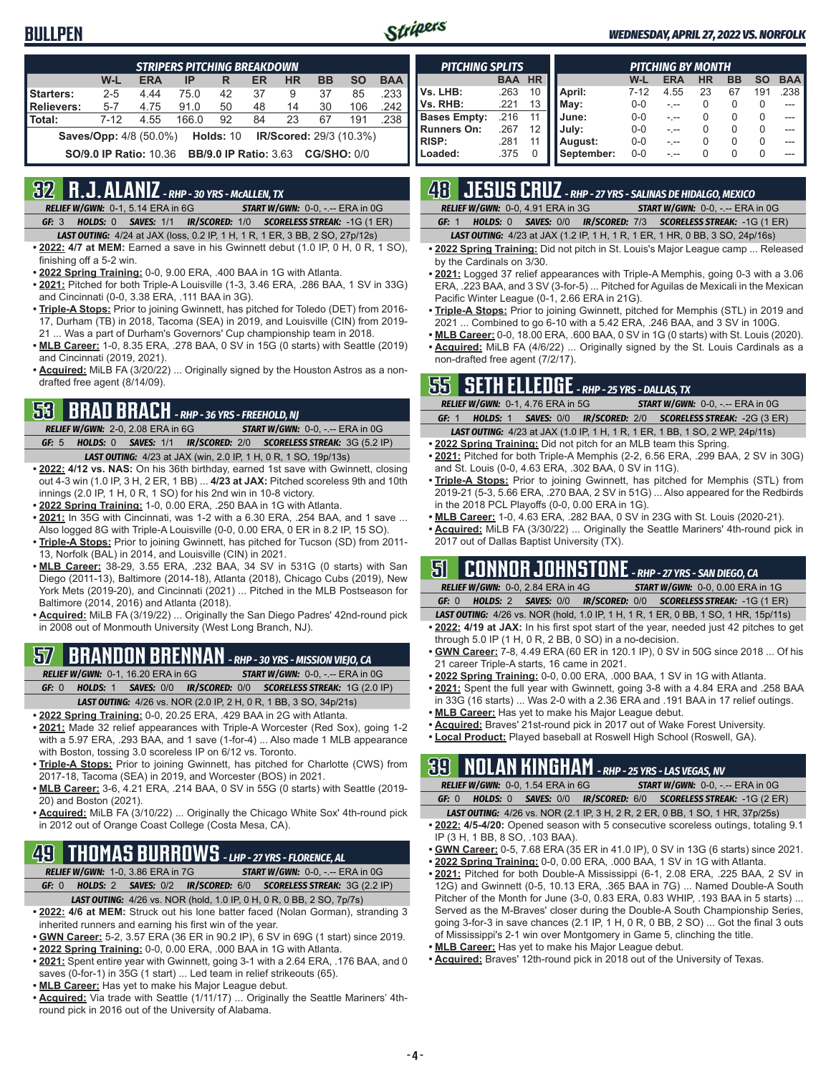## **BULLPEN**



### *WEDNESDAY, APRIL 27, 2022 VS. NORFOLK*

| <b>STRIPERS PITCHING BREAKDOWN</b>                                                  |                               |            |       |             |    |                                |           |           |            |
|-------------------------------------------------------------------------------------|-------------------------------|------------|-------|-------------|----|--------------------------------|-----------|-----------|------------|
|                                                                                     | W-L                           | <b>ERA</b> | IP    | R           | ER | <b>HR</b>                      | <b>BB</b> | <b>SO</b> | <b>BAA</b> |
| Starters:                                                                           | $2 - 5$                       | 4.44       | 75.0  | 42          | 37 | 9                              | 37        | 85        | .233       |
| Relievers:                                                                          | $5 - 7$                       | 4.75       | 91.0  | 50          | 48 | 14                             | 30        | 106       | .242       |
| l Total:                                                                            | $7-12$                        | 4.55       | 166.0 | 92          | 84 | 23                             | 67        | 191       | .238       |
|                                                                                     | <b>Saves/Opp:</b> 4/8 (50.0%) |            |       | Holds: $10$ |    | <b>IR/Scored:</b> 29/3 (10.3%) |           |           |            |
| <b>BB/9.0 IP Ratio: 3.63</b><br><b>SO/9.0 IP Ratio: 10.36</b><br><b>CG/SHO: 0/0</b> |                               |            |       |             |    |                                |           |           |            |

## **32 R.J. ALANIZ** *- RHP - 30 YRS - McALLEN, TX*

*RELIEF W/GWN:*0-1, 5.14 ERA in 6G *START W/GWN:*0-0, -.-- ERA in 0G *GF:*3 *HOLDS:*0 *SAVES:*1/1 *IR/SCORED:*1/0 *SCORELESS STREAK:*-1G (1 ER)

- *LAST OUTING:*4/24 at JAX (loss, 0.2 IP, 1 H, 1 R, 1 ER, 3 BB, 2 SO, 27p/12s)
- **• 2022: 4/7 at MEM:** Earned a save in his Gwinnett debut (1.0 IP, 0 H, 0 R, 1 SO), finishing off a 5-2 win.
- **• 2022 Spring Training:** 0-0, 9.00 ERA, .400 BAA in 1G with Atlanta.
- **• 2021:** Pitched for both Triple-A Louisville (1-3, 3.46 ERA, .286 BAA, 1 SV in 33G) and Cincinnati (0-0, 3.38 ERA, .111 BAA in 3G).
- **• Triple-A Stops:** Prior to joining Gwinnett, has pitched for Toledo (DET) from 2016- 17, Durham (TB) in 2018, Tacoma (SEA) in 2019, and Louisville (CIN) from 2019- 21 ... Was a part of Durham's Governors' Cup championship team in 2018.
- **• MLB Career:** 1-0, 8.35 ERA, .278 BAA, 0 SV in 15G (0 starts) with Seattle (2019) and Cincinnati (2019, 2021).
- **• Acquired:** MiLB FA (3/20/22) ... Originally signed by the Houston Astros as a nondrafted free agent (8/14/09).

# **53 BRAD BRACH** *- RHP - 36 YRS - FREEHOLD, NJ*

*RELIEF W/GWN:*2-0, 2.08 ERA in 6G *START W/GWN:*0-0, -.-- ERA in 0G *GF:*5 *HOLDS:*0 *SAVES:*1/1 *IR/SCORED:*2/0 *SCORELESS STREAK:*3G (5.2 IP)

- *LAST OUTING:*4/23 at JAX (win, 2.0 IP, 1 H, 0 R, 1 SO, 19p/13s) **• 2022: 4/12 vs. NAS:** On his 36th birthday, earned 1st save with Gwinnett, closing out 4-3 win (1.0 IP, 3 H, 2 ER, 1 BB) ... **4/23 at JAX:** Pitched scoreless 9th and 10th innings (2.0 IP, 1 H, 0 R, 1 SO) for his 2nd win in 10-8 victory.
- **• 2022 Spring Training:** 1-0, 0.00 ERA, .250 BAA in 1G with Atlanta.
- **• 2021:** In 35G with Cincinnati, was 1-2 with a 6.30 ERA, .254 BAA, and 1 save ... Also logged 8G with Triple-A Louisville (0-0, 0.00 ERA, 0 ER in 8.2 IP, 15 SO).
- **• Triple-A Stops:** Prior to joining Gwinnett, has pitched for Tucson (SD) from 2011- 13, Norfolk (BAL) in 2014, and Louisville (CIN) in 2021.
- **• MLB Career:** 38-29, 3.55 ERA, .232 BAA, 34 SV in 531G (0 starts) with San Diego (2011-13), Baltimore (2014-18), Atlanta (2018), Chicago Cubs (2019), New York Mets (2019-20), and Cincinnati (2021) ... Pitched in the MLB Postseason for Baltimore (2014, 2016) and Atlanta (2018).
- **• Acquired:** MiLB FA (3/19/22) ... Originally the San Diego Padres' 42nd-round pick in 2008 out of Monmouth University (West Long Branch, NJ).

# **57 BRANDON BRENNAN** *- RHP - 30 YRS - MISSION VIEJO, CA*

*RELIEF W/GWN:*0-1, 16.20 ERA in 6G *START W/GWN:*0-0, -.-- ERA in 0G *GF:*0 *HOLDS:*1 *SAVES:*0/0 *IR/SCORED:*0/0 *SCORELESS STREAK:*1G (2.0 IP)

- *LAST OUTING:*4/26 vs. NOR (2.0 IP, 2 H, 0 R, 1 BB, 3 SO, 34p/21s)
- **• 2022 Spring Training:** 0-0, 20.25 ERA, .429 BAA in 2G with Atlanta.
- **• 2021:** Made 32 relief appearances with Triple-A Worcester (Red Sox), going 1-2 with a 5.97 ERA, .293 BAA, and 1 save (1-for-4) ... Also made 1 MLB appearance with Boston, tossing 3.0 scoreless IP on 6/12 vs. Toronto.
- **• Triple-A Stops:** Prior to joining Gwinnett, has pitched for Charlotte (CWS) from 2017-18, Tacoma (SEA) in 2019, and Worcester (BOS) in 2021.
- **• MLB Career:** 3-6, 4.21 ERA, .214 BAA, 0 SV in 55G (0 starts) with Seattle (2019- 20) and Boston (2021).
- **• Acquired:** MiLB FA (3/10/22) ... Originally the Chicago White Sox' 4th-round pick in 2012 out of Orange Coast College (Costa Mesa, CA).

## **49 THOMAS BURROWS** *- LHP - 27 YRS - FLORENCE, AL*

*RELIEF W/GWN:*1-0, 3.86 ERA in 7G *START W/GWN:*0-0, -.-- ERA in 0G

- *GF:*0 *HOLDS:*2 *SAVES:*0/2 *IR/SCORED:*6/0 *SCORELESS STREAK:*3G (2.2 IP) *LAST OUTING:*4/26 vs. NOR (hold, 1.0 IP, 0 H, 0 R, 0 BB, 2 SO, 7p/7s)
- **• 2022: 4/6 at MEM:** Struck out his lone batter faced (Nolan Gorman), stranding 3 inherited runners and earning his first win of the year.
- **• GWN Career:** 5-2, 3.57 ERA (36 ER in 90.2 IP), 6 SV in 69G (1 start) since 2019.
- **• 2022 Spring Training:** 0-0, 0.00 ERA, .000 BAA in 1G with Atlanta.
- **• 2021:** Spent entire year with Gwinnett, going 3-1 with a 2.64 ERA, .176 BAA, and 0 saves (0-for-1) in 35G (1 start) ... Led team in relief strikeouts (65).
- **• MLB Career:** Has yet to make his Major League debut.
- **• Acquired:** Via trade with Seattle (1/11/17) ... Originally the Seattle Mariners' 4thround pick in 2016 out of the University of Alabama.

| <b>PITCHING SPLITS</b> |            |           | <b>PITCHING BY MONTH</b> |          |            |           |           |           |            |  |  |
|------------------------|------------|-----------|--------------------------|----------|------------|-----------|-----------|-----------|------------|--|--|
|                        | <b>BAA</b> | <b>HR</b> |                          | W-L      | <b>ERA</b> | <b>HR</b> | <b>BB</b> | <b>SO</b> | <b>BAA</b> |  |  |
| Vs. LHB:               | .263       | 10        | April:                   | $7 - 12$ | 4.55       | 23        | 67        | 191       | .238       |  |  |
| Vs. RHB:               | .221       | 13        | May:                     | $0 - 0$  |            | O         |           | 0         | ---        |  |  |
| <b>Bases Empty:</b>    | .216       |           | June:                    | $0 - 0$  |            | O         |           | 0         | ---        |  |  |
| <b>Runners On:</b>     | .267       | 12        | July:                    | $0 - 0$  |            | O         |           | 0         | ---        |  |  |
| <b>RISP:</b>           | .281       |           | August:                  | $0 - 0$  |            |           |           | 0         | ---        |  |  |
| Loaded:                | .375       | ი         | September:               | $0 - 0$  |            |           |           | 0         | ---        |  |  |

# **48 JESUS CRUZ** *- RHP - 27 YRS - SALINAS DE HIDALGO, MEXICO*

*RELIEF W/GWN:*0-0, 4.91 ERA in 3G *START W/GWN:*0-0, -.-- ERA in 0G *GF:*1 *HOLDS:*0 *SAVES:*0/0 *IR/SCORED:*7/3 *SCORELESS STREAK:*-1G (1 ER)

*LAST OUTING:*4/23 at JAX (1.2 IP, 1 H, 1 R, 1 ER, 1 HR, 0 BB, 3 SO, 24p/16s)

- **• 2022 Spring Training:** Did not pitch in St. Louis's Major League camp ... Released by the Cardinals on 3/30.
- **• 2021:** Logged 37 relief appearances with Triple-A Memphis, going 0-3 with a 3.06 ERA, .223 BAA, and 3 SV (3-for-5) ... Pitched for Aguilas de Mexicali in the Mexican Pacific Winter League (0-1, 2.66 ERA in 21G).
- **• Triple-A Stops:** Prior to joining Gwinnett, pitched for Memphis (STL) in 2019 and 2021 ... Combined to go 6-10 with a 5.42 ERA, .246 BAA, and 3 SV in 100G.
- **• MLB Career:** 0-0, 18.00 ERA, .600 BAA, 0 SV in 1G (0 starts) with St. Louis (2020). **• Acquired:** MiLB FA (4/6/22) ... Originally signed by the St. Louis Cardinals as a non-drafted free agent (7/2/17).

## **55 SETH ELLEDGE** *- RHP - 25 YRS - DALLAS, TX*

|       | <b>RELIEF W/GWN: 0-1, 4.76 ERA in 5G</b> | <b>START W/GWN: 0-0, -.-- ERA in 0G</b>                                             |  |
|-------|------------------------------------------|-------------------------------------------------------------------------------------|--|
| GF: 1 |                                          | HOLDS: 1 SAVES: 0/0 IR/SCORED: 2/0 SCORELESS STREAK: -2G (3 ER)                     |  |
|       |                                          | <b>LAST OUTING:</b> 4/23 at JAX (1.0 IP, 1 H, 1 R, 1 ER, 1 BB, 1 SO, 2 WP, 24p/11s) |  |

- **• 2022 Spring Training:** Did not pitch for an MLB team this Spring. **• 2021:** Pitched for both Triple-A Memphis (2-2, 6.56 ERA, .299 BAA, 2 SV in 30G)
- and St. Louis (0-0, 4.63 ERA, .302 BAA, 0 SV in 11G). **• Triple-A Stops:** Prior to joining Gwinnett, has pitched for Memphis (STL) from 2019-21 (5-3, 5.66 ERA, .270 BAA, 2 SV in 51G) ... Also appeared for the Redbirds in the 2018 PCL Playoffs (0-0, 0.00 ERA in 1G).
- **• MLB Career:** 1-0, 4.63 ERA, .282 BAA, 0 SV in 23G with St. Louis (2020-21).
- **• Acquired:** MiLB FA (3/30/22) ... Originally the Seattle Mariners' 4th-round pick in 2017 out of Dallas Baptist University (TX).

## **51 CONNOR JOHNSTONE** *- RHP - 27 YRS - SAN DIEGO, CA*

*RELIEF W/GWN:*0-0, 2.84 ERA in 4G *START W/GWN:*0-0, 0.00 ERA in 1G *GF:*0 *HOLDS:*2 *SAVES:*0/0 *IR/SCORED:*0/0 *SCORELESS STREAK:*-1G (1 ER)

- *LAST OUTING:*4/26 vs. NOR (hold, 1.0 IP, 1 H, 1 R, 1 ER, 0 BB, 1 SO, 1 HR, 15p/11s)
- **• 2022: 4/19 at JAX:** In his first spot start of the year, needed just 42 pitches to get through 5.0 IP (1 H, 0 R, 2 BB, 0 SO) in a no-decision.
- **• GWN Career:** 7-8, 4.49 ERA (60 ER in 120.1 IP), 0 SV in 50G since 2018 ... Of his 21 career Triple-A starts, 16 came in 2021.
- **• 2022 Spring Training:** 0-0, 0.00 ERA, .000 BAA, 1 SV in 1G with Atlanta.
- **• 2021:** Spent the full year with Gwinnett, going 3-8 with a 4.84 ERA and .258 BAA in 33G (16 starts) ... Was 2-0 with a 2.36 ERA and .191 BAA in 17 relief outings.
- **• MLB Career:** Has yet to make his Major League debut.
- **• Acquired:** Braves' 21st-round pick in 2017 out of Wake Forest University.
- **• Local Product:** Played baseball at Roswell High School (Roswell, GA).

## **39 NOLAN KINGHAM** *- RHP - 25 YRS - LAS VEGAS, NV*

|  | <b>RELIEF W/GWN: 0-0. 1.54 ERA in 6G</b> | <b>START W/GWN: <math>0-0</math>.</b> -.-- ERA in $0G$                       |
|--|------------------------------------------|------------------------------------------------------------------------------|
|  |                                          | <b>GF: 0 HOLDS: 0 SAVES: 0/0 IR/SCORED: 6/0 SCORELESS STREAK: -1G (2 ER)</b> |

- *LAST OUTING:*4/26 vs. NOR (2.1 IP, 3 H, 2 R, 2 ER, 0 BB, 1 SO, 1 HR, 37p/25s) **• 2022: 4/5-4/20:** Opened season with 5 consecutive scoreless outings, totaling 9.1
- IP (3 H, 1 BB, 8 SO, .103 BAA). **• GWN Career:** 0-5, 7.68 ERA (35 ER in 41.0 IP), 0 SV in 13G (6 starts) since 2021.
- 
- **• 2022 Spring Training:** 0-0, 0.00 ERA, .000 BAA, 1 SV in 1G with Atlanta. **• 2021:** Pitched for both Double-A Mississippi (6-1, 2.08 ERA, .225 BAA, 2 SV in 12G) and Gwinnett (0-5, 10.13 ERA, .365 BAA in 7G) ... Named Double-A South Pitcher of the Month for June (3-0, 0.83 ERA, 0.83 WHIP, .193 BAA in 5 starts) ... Served as the M-Braves' closer during the Double-A South Championship Series, going 3-for-3 in save chances (2.1 IP, 1 H, 0 R, 0 BB, 2 SO) ... Got the final 3 outs
- of Mississippi's 2-1 win over Montgomery in Game 5, clinching the title.
- **• MLB Career:** Has yet to make his Major League debut.
- **• Acquired:** Braves' 12th-round pick in 2018 out of the University of Texas.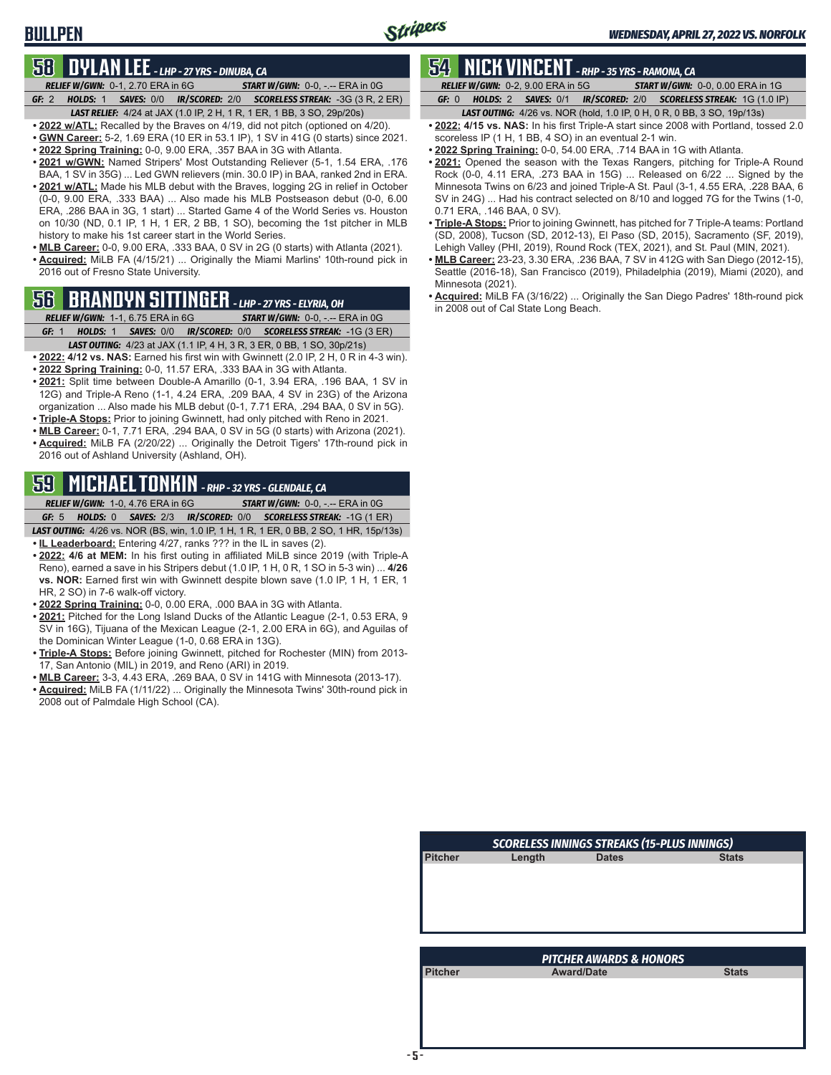## **BULLPEN**

## **58 DYLAN LEE** *- LHP - 27 YRS - DINUBA, CA*

- *RELIEF W/GWN:*0-1, 2.70 ERA in 6G *START W/GWN:*0-0, -.-- ERA in 0G *GF:*2 *HOLDS:*1 *SAVES:*0/0 *IR/SCORED:*2/0 *SCORELESS STREAK:*-3G (3 R, 2 ER)
- *LAST RELIEF:*4/24 at JAX (1.0 IP, 2 H, 1 R, 1 ER, 1 BB, 3 SO, 29p/20s) **• 2022 w/ATL:** Recalled by the Braves on 4/19, did not pitch (optioned on 4/20).
- **• GWN Career:** 5-2, 1.69 ERA (10 ER in 53.1 IP), 1 SV in 41G (0 starts) since 2021.
- **• 2022 Spring Training:** 0-0, 9.00 ERA, .357 BAA in 3G with Atlanta.
- **• 2021 w/GWN:** Named Stripers' Most Outstanding Reliever (5-1, 1.54 ERA, .176 BAA, 1 SV in 35G) ... Led GWN relievers (min. 30.0 IP) in BAA, ranked 2nd in ERA.
- **• 2021 w/ATL:** Made his MLB debut with the Braves, logging 2G in relief in October (0-0, 9.00 ERA, .333 BAA) ... Also made his MLB Postseason debut (0-0, 6.00 ERA, .286 BAA in 3G, 1 start) ... Started Game 4 of the World Series vs. Houston on 10/30 (ND, 0.1 IP, 1 H, 1 ER, 2 BB, 1 SO), becoming the 1st pitcher in MLB history to make his 1st career start in the World Series.
- **• MLB Career:** 0-0, 9.00 ERA, .333 BAA, 0 SV in 2G (0 starts) with Atlanta (2021). **• Acquired:** MiLB FA (4/15/21) ... Originally the Miami Marlins' 10th-round pick in 2016 out of Fresno State University.

# **56 BRANDYN SITTINGER** *- LHP - 27 YRS - ELYRIA, OH*

- *RELIEF W/GWN:*1-1, 6.75 ERA in 6G *START W/GWN:*0-0, -.-- ERA in 0G *GF:*1 *HOLDS:*1 *SAVES:*0/0 *IR/SCORED:*0/0 *SCORELESS STREAK:*-1G (3 ER)
- *LAST OUTING:*4/23 at JAX (1.1 IP, 4 H, 3 R, 3 ER, 0 BB, 1 SO, 30p/21s) **• 2022: 4/12 vs. NAS:** Earned his first win with Gwinnett (2.0 IP, 2 H, 0 R in 4-3 win).
- **• 2022 Spring Training:** 0-0, 11.57 ERA, .333 BAA in 3G with Atlanta.
- **• 2021:** Split time between Double-A Amarillo (0-1, 3.94 ERA, .196 BAA, 1 SV in 12G) and Triple-A Reno (1-1, 4.24 ERA, .209 BAA, 4 SV in 23G) of the Arizona organization ... Also made his MLB debut (0-1, 7.71 ERA, .294 BAA, 0 SV in 5G).
- **• Triple-A Stops:** Prior to joining Gwinnett, had only pitched with Reno in 2021.
- **• MLB Career:** 0-1, 7.71 ERA, .294 BAA, 0 SV in 5G (0 starts) with Arizona (2021).
- **• Acquired:** MiLB FA (2/20/22) ... Originally the Detroit Tigers' 17th-round pick in 2016 out of Ashland University (Ashland, OH).

# **59 MICHAEL TONKIN** *- RHP - 32 YRS - GLENDALE, CA*

*RELIEF W/GWN:*1-0, 4.76 ERA in 6G *START W/GWN:*0-0, -.-- ERA in 0G *GF:*5 *HOLDS:*0 *SAVES:*2/3 *IR/SCORED:*0/0 *SCORELESS STREAK:*-1G (1 ER)

*LAST OUTING:*4/26 vs. NOR (BS, win, 1.0 IP, 1 H, 1 R, 1 ER, 0 BB, 2 SO, 1 HR, 15p/13s)

- **• IL Leaderboard:** Entering 4/27, ranks ??? in the IL in saves (2).
- **• 2022: 4/6 at MEM:** In his first outing in affiliated MiLB since 2019 (with Triple-A Reno), earned a save in his Stripers debut (1.0 IP, 1 H, 0 R, 1 SO in 5-3 win) ... **4/26 vs. NOR:** Earned first win with Gwinnett despite blown save (1.0 IP, 1 H, 1 ER, 1 HR, 2 SO) in 7-6 walk-off victory.
- **• 2022 Spring Training:** 0-0, 0.00 ERA, .000 BAA in 3G with Atlanta.
- **• 2021:** Pitched for the Long Island Ducks of the Atlantic League (2-1, 0.53 ERA, 9 SV in 16G), Tijuana of the Mexican League (2-1, 2.00 ERA in 6G), and Aguilas of the Dominican Winter League (1-0, 0.68 ERA in 13G).
- **• Triple-A Stops:** Before joining Gwinnett, pitched for Rochester (MIN) from 2013- 17, San Antonio (MIL) in 2019, and Reno (ARI) in 2019.
- **• MLB Career:** 3-3, 4.43 ERA, .269 BAA, 0 SV in 141G with Minnesota (2013-17).
- **• Acquired:** MiLB FA (1/11/22) ... Originally the Minnesota Twins' 30th-round pick in 2008 out of Palmdale High School (CA).

# **54 NICK VINCENT** *- RHP - 35 YRS - RAMONA, CA*

*RELIEF W/GWN:*0-2, 9.00 ERA in 5G *START W/GWN:*0-0, 0.00 ERA in 1G *GF:*0 *HOLDS:*2 *SAVES:*0/1 *IR/SCORED:*2/0 *SCORELESS STREAK:*1G (1.0 IP)

- *LAST OUTING:*4/26 vs. NOR (hold, 1.0 IP, 0 H, 0 R, 0 BB, 3 SO, 19p/13s) **• 2022: 4/15 vs. NAS:** In his first Triple-A start since 2008 with Portland, tossed 2.0
- scoreless IP (1 H, 1 BB, 4 SO) in an eventual 2-1 win.
- **• 2022 Spring Training:** 0-0, 54.00 ERA, .714 BAA in 1G with Atlanta.
- **• 2021:** Opened the season with the Texas Rangers, pitching for Triple-A Round Rock (0-0, 4.11 ERA, .273 BAA in 15G) ... Released on 6/22 ... Signed by the Minnesota Twins on 6/23 and joined Triple-A St. Paul (3-1, 4.55 ERA, .228 BAA, 6 SV in 24G) ... Had his contract selected on 8/10 and logged 7G for the Twins (1-0, 0.71 ERA, .146 BAA, 0 SV).
- **• Triple-A Stops:** Prior to joining Gwinnett, has pitched for 7 Triple-A teams: Portland (SD, 2008), Tucson (SD, 2012-13), El Paso (SD, 2015), Sacramento (SF, 2019), Lehigh Valley (PHI, 2019), Round Rock (TEX, 2021), and St. Paul (MIN, 2021).
- **• MLB Career:** 23-23, 3.30 ERA, .236 BAA, 7 SV in 412G with San Diego (2012-15), Seattle (2016-18), San Francisco (2019), Philadelphia (2019), Miami (2020), and Minnesota (2021).
- **• Acquired:** MiLB FA (3/16/22) ... Originally the San Diego Padres' 18th-round pick in 2008 out of Cal State Long Beach.

|                |        | <b>SCORELESS INNINGS STREAKS (15-PLUS INNINGS)</b> |              |
|----------------|--------|----------------------------------------------------|--------------|
| <b>Pitcher</b> | Length | <b>Dates</b>                                       | <b>Stats</b> |
|                |        |                                                    |              |
|                |        |                                                    |              |
|                |        |                                                    |              |
|                |        |                                                    |              |
|                |        |                                                    |              |
|                |        |                                                    |              |
|                |        |                                                    |              |
|                |        | <b>PITCHER AWARDS &amp; HONORS</b>                 |              |
| <b>Pitcher</b> |        | <b>Award/Date</b>                                  | <b>Stats</b> |
|                |        |                                                    |              |
|                |        |                                                    |              |
|                |        |                                                    |              |
|                |        |                                                    |              |
|                |        |                                                    |              |
|                |        |                                                    |              |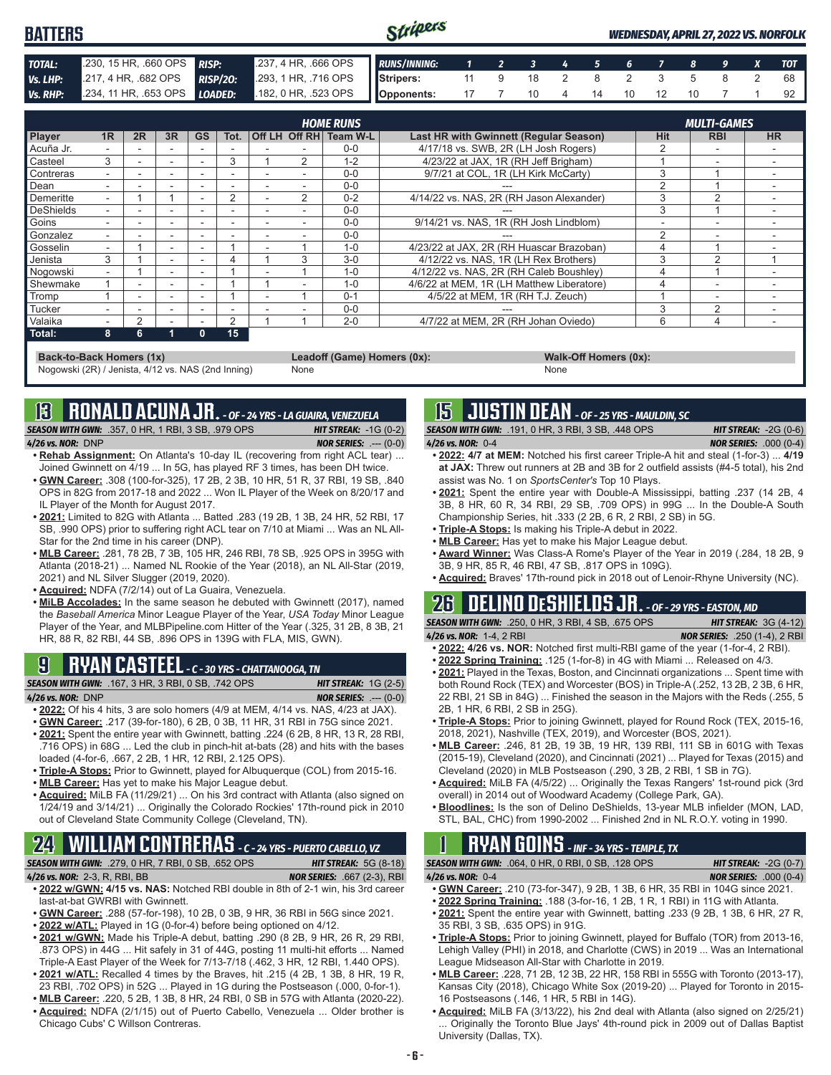| <b>BATTERS</b> |                                                                                   |  | Stripers |  |                           |  |  |  | <b>WEDNESDAY, APRIL 27, 2022 VS. NORFOLK</b> |
|----------------|-----------------------------------------------------------------------------------|--|----------|--|---------------------------|--|--|--|----------------------------------------------|
| TOTAL:         | 230, 15 HR, 660 OPS RISP: 237, 4 HR, 666 OPS RUNS/INNING: 1 2 3 4 5 6 7 8 9 X TOT |  |          |  |                           |  |  |  |                                              |
| Vs. LHP:       | 217, 4 HR, 682 OPS RISP/20: 293, 1 HR, 716 OPS Stripers: 11 9 18 2 8 2 3 5 8 2 68 |  |          |  |                           |  |  |  |                                              |
| Vs. RHP:       | 234, 11 HR, 653 OPS <b>LOADED:</b> 182, 0 HR, 523 OPS <b>Opponents:</b>           |  |          |  | 17 7 10 4 14 10 12 10 7 1 |  |  |  | 92                                           |

|                |    |               |                          |           |      |               | <b>HOME RUNS</b>       |                                           |                | <b>MULTI-GAMES</b> |           |
|----------------|----|---------------|--------------------------|-----------|------|---------------|------------------------|-------------------------------------------|----------------|--------------------|-----------|
| Player         | 1R | 2R            | 3R                       | <b>GS</b> | Tot. |               | Off LH Off RH Team W-L | Last HR with Gwinnett (Regular Season)    | Hit            | <b>RBI</b>         | <b>HR</b> |
| ∎Acuña Jr.     |    |               |                          |           |      |               | $0 - 0$                | 4/17/18 vs. SWB, 2R (LH Josh Rogers)      |                |                    |           |
| <b>Casteel</b> | 3  |               |                          |           | 3    | 2             | 1-2                    | 4/23/22 at JAX, 1R (RH Jeff Brigham)      |                |                    |           |
| Contreras      |    |               | $\overline{\phantom{a}}$ | -         |      |               | $0 - 0$                | 9/7/21 at COL, 1R (LH Kirk McCarty)       | 3              |                    |           |
| <b>D</b> ean   |    |               |                          |           |      |               | $0 - 0$                |                                           |                |                    |           |
| Demeritte      |    |               |                          | ۰         | 2    | $\mathcal{P}$ | $0 - 2$                | 4/14/22 vs. NAS, 2R (RH Jason Alexander)  |                | $\sim$             |           |
| DeShields      |    |               | $\overline{\phantom{a}}$ | -         |      |               | $0 - 0$                |                                           | 3              |                    |           |
| Goins          |    |               |                          |           |      |               | $0 - 0$                | 9/14/21 vs. NAS, 1R (RH Josh Lindblom)    |                |                    |           |
| Gonzalez       |    |               |                          |           |      |               | $0 - 0$                |                                           | $\mathfrak{p}$ |                    |           |
| Gosselin       |    |               | $\sim$                   | -         |      |               | $1 - 0$                | 4/23/22 at JAX, 2R (RH Huascar Brazoban)  |                |                    |           |
| Jenista        | 3  |               |                          |           | 4    | 3             | $3-0$                  | 4/12/22 vs. NAS. 1R (LH Rex Brothers)     | 3              | $\sim$             |           |
| Nogowski       |    |               | -                        |           |      |               | $1 - 0$                | 4/12/22 vs. NAS, 2R (RH Caleb Boushley)   |                |                    |           |
| Shewmake       |    |               |                          |           |      |               | $1 - 0$                | 4/6/22 at MEM. 1R (LH Matthew Liberatore) |                |                    |           |
| Tromp          |    |               |                          |           |      |               | $0 - 1$                | 4/5/22 at MEM, 1R (RH T.J. Zeuch)         |                |                    |           |
| Tucker         |    |               |                          |           |      |               | $0 - 0$                |                                           | 3              | $\mathcal{P}$      |           |
| Valaika        |    | $\mathcal{P}$ |                          |           | 2    |               | $2 - 0$                | 4/7/22 at MEM, 2R (RH Johan Oviedo)       | 6              |                    |           |
| $\vert$ Total: | 8  | 6             |                          | n         | 15   |               |                        |                                           |                |                    |           |

**Back-to-Back Homers (1x) Leadoff (Game) Homers (0x): Walk-Off Homers (0x): Walk-Off Homers (0x): None None** Nogowski (2R) / Jenista, 4/12 vs. NAS (2nd Inning)

**13 RONALD ACUNA JR.** *- OF - 24 YRS - LA GUAIRA, VENEZUELA*

*SEASON WITH GWN:*.357, 0 HR, 1 RBI, 3 SB, .979 OPS *HIT STREAK:* -1G (0-2) *4/26 vs. NOR:*DNP *NOR SERIES:* .--- (0-0)

- **• Rehab Assignment:** On Atlanta's 10-day IL (recovering from right ACL tear) ... Joined Gwinnett on 4/19 ... In 5G, has played RF 3 times, has been DH twice.
- **• GWN Career:** .308 (100-for-325), 17 2B, 2 3B, 10 HR, 51 R, 37 RBI, 19 SB, .840 OPS in 82G from 2017-18 and 2022 ... Won IL Player of the Week on 8/20/17 and IL Player of the Month for August 2017.
- **• 2021:** Limited to 82G with Atlanta ... Batted .283 (19 2B, 1 3B, 24 HR, 52 RBI, 17 SB, .990 OPS) prior to suffering right ACL tear on 7/10 at Miami ... Was an NL All-Star for the 2nd time in his career (DNP).
- **• MLB Career:** .281, 78 2B, 7 3B, 105 HR, 246 RBI, 78 SB, .925 OPS in 395G with Atlanta (2018-21) ... Named NL Rookie of the Year (2018), an NL All-Star (2019, 2021) and NL Silver Slugger (2019, 2020).
- **• Acquired:** NDFA (7/2/14) out of La Guaira, Venezuela.
- **• MiLB Accolades:** In the same season he debuted with Gwinnett (2017), named the *Baseball America* Minor League Player of the Year, *USA Today* Minor League Player of the Year, and MLBPipeline.com Hitter of the Year (.325, 31 2B, 8 3B, 21 HR, 88 R, 82 RBI, 44 SB, .896 OPS in 139G with FLA, MIS, GWN).

# **9 RYAN CASTEEL** *- C - 30 YRS - CHATTANOOGA, TN*

*SEASON WITH GWN:*.167, 3 HR, 3 RBI, 0 SB, .742 OPS *HIT STREAK:* 1G (2-5)

- *4/26 vs. NOR:*DNP *NOR SERIES:* .--- (0-0) **• 2022:** Of his 4 hits, 3 are solo homers (4/9 at MEM, 4/14 vs. NAS, 4/23 at JAX).
- **• GWN Career:** .217 (39-for-180), 6 2B, 0 3B, 11 HR, 31 RBI in 75G since 2021.
- **• 2021:** Spent the entire year with Gwinnett, batting .224 (6 2B, 8 HR, 13 R, 28 RBI, .716 OPS) in 68G ... Led the club in pinch-hit at-bats (28) and hits with the bases loaded (4-for-6, .667, 2 2B, 1 HR, 12 RBI, 2.125 OPS).
- **• Triple-A Stops:** Prior to Gwinnett, played for Albuquerque (COL) from 2015-16. **• MLB Career:** Has yet to make his Major League debut.
- 
- **• Acquired:** MiLB FA (11/29/21) ... On his 3rd contract with Atlanta (also signed on 1/24/19 and 3/14/21) ... Originally the Colorado Rockies' 17th-round pick in 2010 out of Cleveland State Community College (Cleveland, TN).

# **24 WILLIAM CONTRERAS** *- C - 24 YRS - PUERTO CABELLO, VZ*

*SEASON WITH GWN:*.279, 0 HR, 7 RBI, 0 SB, .652 OPS *HIT STREAK:* 5G (8-18) *4/26 vs. NOR:*2-3, R, RBI, BB *NOR SERIES:* .667 (2-3), RBI

- **• 2022 w/GWN: 4/15 vs. NAS:** Notched RBI double in 8th of 2-1 win, his 3rd career last-at-bat GWRBI with Gwinnett.
- **• GWN Career:** .288 (57-for-198), 10 2B, 0 3B, 9 HR, 36 RBI in 56G since 2021.
- **• 2022 w/ATL:** Played in 1G (0-for-4) before being optioned on 4/12.
- **• 2021 w/GWN:** Made his Triple-A debut, batting .290 (8 2B, 9 HR, 26 R, 29 RBI, .873 OPS) in 44G ... Hit safely in 31 of 44G, posting 11 multi-hit efforts ... Named Triple-A East Player of the Week for 7/13-7/18 (.462, 3 HR, 12 RBI, 1.440 OPS).
- **• 2021 w/ATL:** Recalled 4 times by the Braves, hit .215 (4 2B, 1 3B, 8 HR, 19 R, 23 RBI, .702 OPS) in 52G ... Played in 1G during the Postseason (.000, 0-for-1).
- **• MLB Career:** .220, 5 2B, 1 3B, 8 HR, 24 RBI, 0 SB in 57G with Atlanta (2020-22).
- **• Acquired:** NDFA (2/1/15) out of Puerto Cabello, Venezuela ... Older brother is Chicago Cubs' C Willson Contreras.

## **15 JUSTIN DEAN** *- OF - 25 YRS - MAULDIN, SC*

*SEASON WITH GWN:*.191, 0 HR, 3 RBI, 3 SB, .448 OPS *HIT STREAK:* -2G (0-6) *4/26 vs. NOR:*0-4 *NOR SERIES:* .000 (0-4)

- **• 2022: 4/7 at MEM:** Notched his first career Triple-A hit and steal (1-for-3) ... **4/19 at JAX:** Threw out runners at 2B and 3B for 2 outfield assists (#4-5 total), his 2nd assist was No. 1 on *SportsCenter's* Top 10 Plays.
- **• 2021:** Spent the entire year with Double-A Mississippi, batting .237 (14 2B, 4 3B, 8 HR, 60 R, 34 RBI, 29 SB, .709 OPS) in 99G ... In the Double-A South Championship Series, hit .333 (2 2B, 6 R, 2 RBI, 2 SB) in 5G.
- **• Triple-A Stops:** Is making his Triple-A debut in 2022.
- **• MLB Career:** Has yet to make his Major League debut.
- **• Award Winner:** Was Class-A Rome's Player of the Year in 2019 (.284, 18 2B, 9 3B, 9 HR, 85 R, 46 RBI, 47 SB, .817 OPS in 109G).
- **• Acquired:** Braves' 17th-round pick in 2018 out of Lenoir-Rhyne University (NC).

# **26 DELINO DESHIELDS JR.** *- OF - 29 YRS - EASTON, MD*

*SEASON WITH GWN:*.250, 0 HR, 3 RBI, 4 SB, .675 OPS *HIT STREAK:* 3G (4-12) *4/26 vs. NOR:*1-4, 2 RBI *NOR SERIES:* .250 (1-4), 2 RBI

- **• 2022: 4/26 vs. NOR:** Notched first multi-RBI game of the year (1-for-4, 2 RBI). **• 2022 Spring Training:** .125 (1-for-8) in 4G with Miami ... Released on 4/3.
- **• 2021:** Played in the Texas, Boston, and Cincinnati organizations ... Spent time with both Round Rock (TEX) and Worcester (BOS) in Triple-A (.252, 13 2B, 2 3B, 6 HR, 22 RBI, 21 SB in 84G) ... Finished the season in the Majors with the Reds (.255, 5 2B, 1 HR, 6 RBI, 2 SB in 25G).
- **• Triple-A Stops:** Prior to joining Gwinnett, played for Round Rock (TEX, 2015-16, 2018, 2021), Nashville (TEX, 2019), and Worcester (BOS, 2021).
- **• MLB Career:** .246, 81 2B, 19 3B, 19 HR, 139 RBI, 111 SB in 601G with Texas (2015-19), Cleveland (2020), and Cincinnati (2021) ... Played for Texas (2015) and Cleveland (2020) in MLB Postseason (.290, 3 2B, 2 RBI, 1 SB in 7G).
- **• Acquired:** MiLB FA (4/5/22) ... Originally the Texas Rangers' 1st-round pick (3rd overall) in 2014 out of Woodward Academy (College Park, GA).
- **• Bloodlines:** Is the son of Delino DeShields, 13-year MLB infielder (MON, LAD, STL, BAL, CHC) from 1990-2002 ... Finished 2nd in NL R.O.Y. voting in 1990.

# **1 RYAN GOINS** *- INF - 34 YRS - TEMPLE, TX*

*SEASON WITH GWN:*.064, 0 HR, 0 RBI, 0 SB, .128 OPS *HIT STREAK:* -2G (0-7)

*4/26 vs. NOR:*0-4 *NOR SERIES:* .000 (0-4)

- **• GWN Career:** .210 (73-for-347), 9 2B, 1 3B, 6 HR, 35 RBI in 104G since 2021.
- **• 2022 Spring Training:** .188 (3-for-16, 1 2B, 1 R, 1 RBI) in 11G with Atlanta.
- **• 2021:** Spent the entire year with Gwinnett, batting .233 (9 2B, 1 3B, 6 HR, 27 R, 35 RBI, 3 SB, .635 OPS) in 91G.
- **• Triple-A Stops:** Prior to joining Gwinnett, played for Buffalo (TOR) from 2013-16, Lehigh Valley (PHI) in 2018, and Charlotte (CWS) in 2019 ... Was an International League Midseason All-Star with Charlotte in 2019.
- **• MLB Career:** .228, 71 2B, 12 3B, 22 HR, 158 RBI in 555G with Toronto (2013-17), Kansas City (2018), Chicago White Sox (2019-20) ... Played for Toronto in 2015- 16 Postseasons (.146, 1 HR, 5 RBI in 14G).
- **• Acquired:** MiLB FA (3/13/22), his 2nd deal with Atlanta (also signed on 2/25/21) Originally the Toronto Blue Jays' 4th-round pick in 2009 out of Dallas Baptist University (Dallas, TX).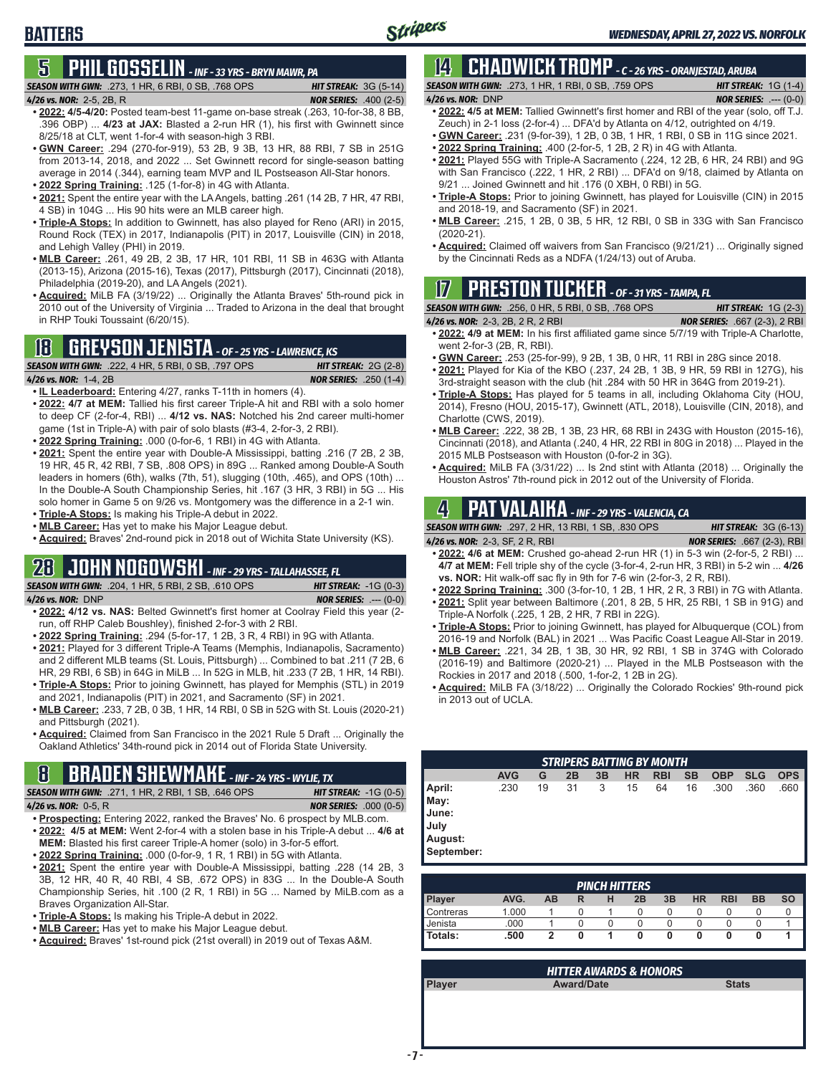### **5 PHIL GOSSELIN** *- INF - 33 YRS - BRYN MAWR, PA SEASON WITH GWN:*.273, 1 HR, 6 RBI, 0 SB, .768 OPS *HIT STREAK:* 3G (5-14)

#### *4/26 vs. NOR:*2-5, 2B, R *NOR SERIES:* .400 (2-5)

**BATTERS**

- **• 2022: 4/5-4/20:** Posted team-best 11-game on-base streak (.263, 10-for-38, 8 BB, .396 OBP) ... **4/23 at JAX:** Blasted a 2-run HR (1), his first with Gwinnett since 8/25/18 at CLT, went 1-for-4 with season-high 3 RBI.
- **• GWN Career:** .294 (270-for-919), 53 2B, 9 3B, 13 HR, 88 RBI, 7 SB in 251G from 2013-14, 2018, and 2022 ... Set Gwinnett record for single-season batting average in 2014 (.344), earning team MVP and IL Postseason All-Star honors.
- **• 2022 Spring Training:** .125 (1-for-8) in 4G with Atlanta.
- **• 2021:** Spent the entire year with the LA Angels, batting .261 (14 2B, 7 HR, 47 RBI, 4 SB) in 104G ... His 90 hits were an MLB career high.
- **• Triple-A Stops:** In addition to Gwinnett, has also played for Reno (ARI) in 2015, Round Rock (TEX) in 2017, Indianapolis (PIT) in 2017, Louisville (CIN) in 2018, and Lehigh Valley (PHI) in 2019.
- **• MLB Career:** .261, 49 2B, 2 3B, 17 HR, 101 RBI, 11 SB in 463G with Atlanta (2013-15), Arizona (2015-16), Texas (2017), Pittsburgh (2017), Cincinnati (2018), Philadelphia (2019-20), and LA Angels (2021).
- **• Acquired:** MiLB FA (3/19/22) ... Originally the Atlanta Braves' 5th-round pick in 2010 out of the University of Virginia ... Traded to Arizona in the deal that brought in RHP Touki Toussaint (6/20/15).

## **18 GREYSON JENISTA** *- OF - 25 YRS - LAWRENCE, KS*

| <b>SEASON WITH GWN:</b> .222, 4 HR, 5 RBI, 0 SB, .797 OPS | <b>HIT STREAK:</b> $2G(2-8)$  |
|-----------------------------------------------------------|-------------------------------|
| 4/26 vs. NOR: 1-4, 2B                                     | <b>NOR SERIES: .250 (1-4)</b> |

**• IL Leaderboard:** Entering 4/27, ranks T-11th in homers (4).

- **• 2022: 4/7 at MEM:** Tallied his first career Triple-A hit and RBI with a solo homer to deep CF (2-for-4, RBI) ... **4/12 vs. NAS:** Notched his 2nd career multi-homer game (1st in Triple-A) with pair of solo blasts (#3-4, 2-for-3, 2 RBI).
- **• 2022 Spring Training:** .000 (0-for-6, 1 RBI) in 4G with Atlanta.
- **• 2021:** Spent the entire year with Double-A Mississippi, batting .216 (7 2B, 2 3B, 19 HR, 45 R, 42 RBI, 7 SB, .808 OPS) in 89G ... Ranked among Double-A South leaders in homers (6th), walks (7th, 51), slugging (10th, .465), and OPS (10th) ... In the Double-A South Championship Series, hit .167 (3 HR, 3 RBI) in 5G ... His solo homer in Game 5 on 9/26 vs. Montgomery was the difference in a 2-1 win.
- **• Triple-A Stops:** Is making his Triple-A debut in 2022. **• MLB Career:** Has yet to make his Major League debut.
- **• Acquired:** Braves' 2nd-round pick in 2018 out of Wichita State University (KS).

# **28 JOHN NOGOWSKI** *- INF - 29 YRS - TALLAHASSEE, FL*

*SEASON WITH GWN:*.204, 1 HR, 5 RBI, 2 SB, .610 OPS *HIT STREAK:* -1G (0-3) *4/26 vs. NOR:*DNP *NOR SERIES:* .--- (0-0)

- **• 2022: 4/12 vs. NAS:** Belted Gwinnett's first homer at Coolray Field this year (2 run, off RHP Caleb Boushley), finished 2-for-3 with 2 RBI.
- **• 2022 Spring Training:** .294 (5-for-17, 1 2B, 3 R, 4 RBI) in 9G with Atlanta.
- **• 2021:** Played for 3 different Triple-A Teams (Memphis, Indianapolis, Sacramento) and 2 different MLB teams (St. Louis, Pittsburgh) ... Combined to bat .211 (7 2B, 6 HR, 29 RBI, 6 SB) in 64G in MiLB ... In 52G in MLB, hit .233 (7 2B, 1 HR, 14 RBI).
- **• Triple-A Stops:** Prior to joining Gwinnett, has played for Memphis (STL) in 2019 and 2021, Indianapolis (PIT) in 2021, and Sacramento (SF) in 2021.
- **• MLB Career:** .233, 7 2B, 0 3B, 1 HR, 14 RBI, 0 SB in 52G with St. Louis (2020-21) and Pittsburgh (2021).
- **• Acquired:** Claimed from San Francisco in the 2021 Rule 5 Draft ... Originally the Oakland Athletics' 34th-round pick in 2014 out of Florida State University.

# **8 BRADEN SHEWMAKE** *- INF - 24 YRS - WYLIE, TX*

*SEASON WITH GWN:*.271, 1 HR, 2 RBI, 1 SB, .646 OPS *HIT STREAK:* -1G (0-5)

*4/26 vs. NOR:*0-5, R *NOR SERIES:* .000 (0-5)

- **• Prospecting:** Entering 2022, ranked the Braves' No. 6 prospect by MLB.com. **• 2022: 4/5 at MEM:** Went 2-for-4 with a stolen base in his Triple-A debut ... **4/6 at MEM:** Blasted his first career Triple-A homer (solo) in 3-for-5 effort.
- **• 2022 Spring Training:** .000 (0-for-9, 1 R, 1 RBI) in 5G with Atlanta.
- **• 2021:** Spent the entire year with Double-A Mississippi, batting .228 (14 2B, 3 3B, 12 HR, 40 R, 40 RBI, 4 SB, .672 OPS) in 83G ... In the Double-A South Championship Series, hit .100 (2 R, 1 RBI) in 5G ... Named by MiLB.com as a Braves Organization All-Star.
- **• Triple-A Stops:** Is making his Triple-A debut in 2022.
- **• MLB Career:** Has yet to make his Major League debut.
- **• Acquired:** Braves' 1st-round pick (21st overall) in 2019 out of Texas A&M.

### **14 CHADWICK TROMP** *- C - 26 YRS - ORANJESTAD, ARUBA SEASON WITH GWN:*.273, 1 HR, 1 RBI, 0 SB, .759 OPS *HIT STREAK:* 1G (1-4)

*4/26 vs. NOR:*DNP *NOR SERIES:* .--- (0-0) **• 2022: 4/5 at MEM:** Tallied Gwinnett's first homer and RBI of the year (solo, off T.J.

- Zeuch) in 2-1 loss (2-for-4) ... DFA'd by Atlanta on 4/12, outrighted on 4/19.
- **• GWN Career:** .231 (9-for-39), 1 2B, 0 3B, 1 HR, 1 RBI, 0 SB in 11G since 2021.
- **• 2022 Spring Training:** .400 (2-for-5, 1 2B, 2 R) in 4G with Atlanta. **• 2021:** Played 55G with Triple-A Sacramento (.224, 12 2B, 6 HR, 24 RBI) and 9G
- with San Francisco (.222, 1 HR, 2 RBI) ... DFA'd on 9/18, claimed by Atlanta on 9/21 ... Joined Gwinnett and hit .176 (0 XBH, 0 RBI) in 5G.
- **• Triple-A Stops:** Prior to joining Gwinnett, has played for Louisville (CIN) in 2015 and 2018-19, and Sacramento (SF) in 2021.
- **• MLB Career:** .215, 1 2B, 0 3B, 5 HR, 12 RBI, 0 SB in 33G with San Francisco (2020-21).
- **• Acquired:** Claimed off waivers from San Francisco (9/21/21) ... Originally signed by the Cincinnati Reds as a NDFA (1/24/13) out of Aruba.

## **17 PRESTON TUCKER** *- OF - 31 YRS - TAMPA, FL*

*SEASON WITH GWN:*.256, 0 HR, 5 RBI, 0 SB, .768 OPS *HIT STREAK:* 1G (2-3)

- *4/26 vs. NOR:*2-3, 2B, 2 R, 2 RBI *NOR SERIES:* .667 (2-3), 2 RBI **• 2022: 4/9 at MEM:** In his first affiliated game since 5/7/19 with Triple-A Charlotte, went 2-for-3 (2B, R, RBI).
- **• GWN Career:** .253 (25-for-99), 9 2B, 1 3B, 0 HR, 11 RBI in 28G since 2018.
- **• 2021:** Played for Kia of the KBO (.237, 24 2B, 1 3B, 9 HR, 59 RBI in 127G), his 3rd-straight season with the club (hit .284 with 50 HR in 364G from 2019-21).
- **• Triple-A Stops:** Has played for 5 teams in all, including Oklahoma City (HOU, 2014), Fresno (HOU, 2015-17), Gwinnett (ATL, 2018), Louisville (CIN, 2018), and Charlotte (CWS, 2019).
- **• MLB Career:** .222, 38 2B, 1 3B, 23 HR, 68 RBI in 243G with Houston (2015-16), Cincinnati (2018), and Atlanta (.240, 4 HR, 22 RBI in 80G in 2018) ... Played in the 2015 MLB Postseason with Houston (0-for-2 in 3G).
- **• Acquired:** MiLB FA (3/31/22) ... Is 2nd stint with Atlanta (2018) ... Originally the Houston Astros' 7th-round pick in 2012 out of the University of Florida.

## **4 PAT VALAIKA** *- INF - 29 YRS - VALENCIA, CA*

*SEASON WITH GWN:*.297, 2 HR, 13 RBI, 1 SB, .830 OPS *HIT STREAK:* 3G (6-13) *4/26 vs. NOR:*2-3, SF, 2 R, RBI *NOR SERIES:* .667 (2-3), RBI

- **• 2022: 4/6 at MEM:** Crushed go-ahead 2-run HR (1) in 5-3 win (2-for-5, 2 RBI) ... **4/7 at MEM:** Fell triple shy of the cycle (3-for-4, 2-run HR, 3 RBI) in 5-2 win ... **4/26 vs. NOR:** Hit walk-off sac fly in 9th for 7-6 win (2-for-3, 2 R, RBI).
- **• 2022 Spring Training:** .300 (3-for-10, 1 2B, 1 HR, 2 R, 3 RBI) in 7G with Atlanta.
- **• 2021:** Split year between Baltimore (.201, 8 2B, 5 HR, 25 RBI, 1 SB in 91G) and Triple-A Norfolk (.225, 1 2B, 2 HR, 7 RBI in 22G).
- **• Triple-A Stops:** Prior to joining Gwinnett, has played for Albuquerque (COL) from 2016-19 and Norfolk (BAL) in 2021 ... Was Pacific Coast League All-Star in 2019.
- **• MLB Career:** .221, 34 2B, 1 3B, 30 HR, 92 RBI, 1 SB in 374G with Colorado (2016-19) and Baltimore (2020-21) ... Played in the MLB Postseason with the Rockies in 2017 and 2018 (.500, 1-for-2, 1 2B in 2G).
- **• Acquired:** MiLB FA (3/18/22) ... Originally the Colorado Rockies' 9th-round pick in 2013 out of UCLA.

| <b>STRIPERS BATTING BY MONTH</b> |            |    |    |    |           |            |           |            |            |            |
|----------------------------------|------------|----|----|----|-----------|------------|-----------|------------|------------|------------|
|                                  | <b>AVG</b> | G  | 2B | 3B | <b>HR</b> | <b>RBI</b> | <b>SB</b> | <b>OBP</b> | <b>SLG</b> | <b>OPS</b> |
| April:                           | .230       | 19 | 31 | 3  | 15        | 64         | 16        | .300       | .360       | .660       |
| May:                             |            |    |    |    |           |            |           |            |            |            |
| June:                            |            |    |    |    |           |            |           |            |            |            |
| Uuly                             |            |    |    |    |           |            |           |            |            |            |
| August:                          |            |    |    |    |           |            |           |            |            |            |
| September:                       |            |    |    |    |           |            |           |            |            |            |
|                                  |            |    |    |    |           |            |           |            |            |            |

|                  |       |           |   | <b>PINCH HITTERS</b> |    |           |            |           |           |
|------------------|-------|-----------|---|----------------------|----|-----------|------------|-----------|-----------|
| <b>Player</b>    | AVG.  | <b>AB</b> | R | 2B                   | 3B | <b>HR</b> | <b>RBI</b> | <b>BB</b> | <b>SO</b> |
| <b>Contreras</b> | 1.000 |           |   |                      |    |           |            |           |           |
| Jenista          | .000  |           |   |                      |    | O         |            |           |           |
| Totals:          | .500  | 2         |   |                      | O  | 0         |            |           |           |

| <b>HITTER AWARDS &amp; HONORS</b> |                   |              |  |  |  |
|-----------------------------------|-------------------|--------------|--|--|--|
| <b>Player</b>                     | <b>Award/Date</b> | <b>Stats</b> |  |  |  |
|                                   |                   |              |  |  |  |
|                                   |                   |              |  |  |  |
|                                   |                   |              |  |  |  |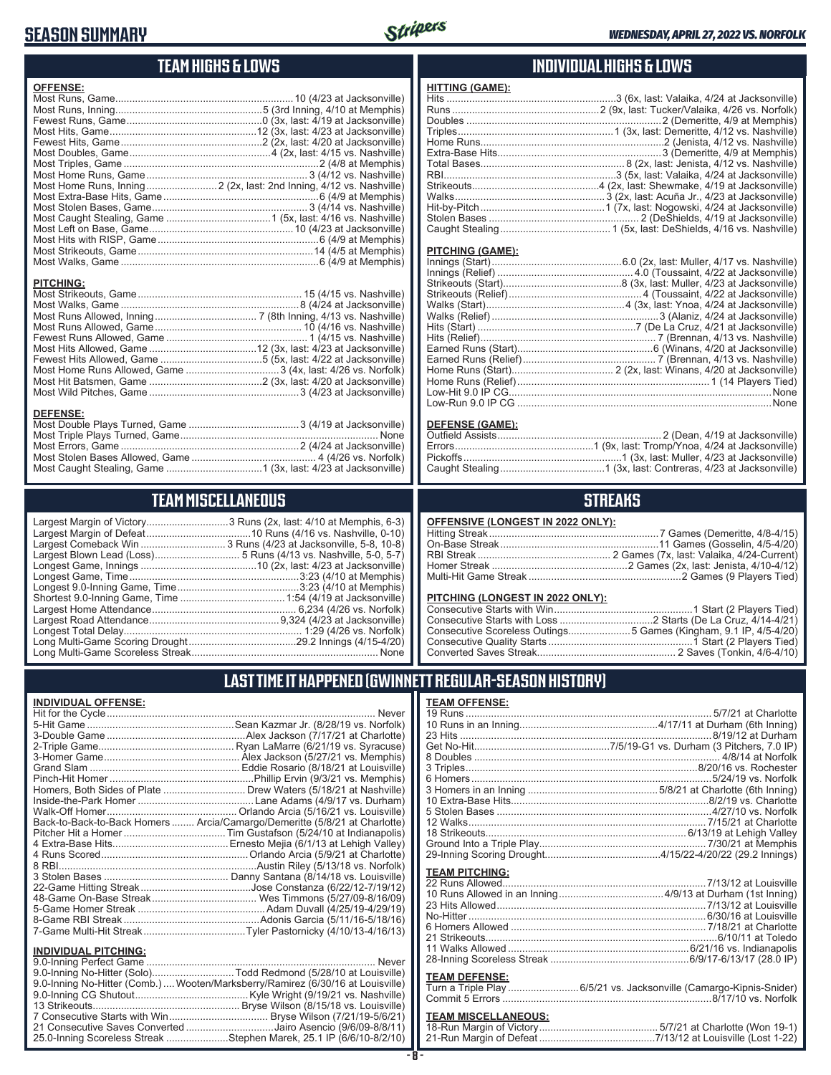## **SEASON SUMMARY**



## **TEAM HIGHS & LOWS**

| <b>OFFENSE:</b> |  |
|-----------------|--|
|                 |  |
|                 |  |
|                 |  |
|                 |  |
|                 |  |
|                 |  |
|                 |  |
|                 |  |
|                 |  |
|                 |  |
|                 |  |
|                 |  |
|                 |  |
|                 |  |
|                 |  |
|                 |  |
|                 |  |

### **PITCHING:**

#### **DEFENSE:**

## **TEAM MISCELLANEOUS**

| Long Multi-Game Scoreless Streak | None |
|----------------------------------|------|

.......... 5 Runs (4/13 vs. Nashville, 5-0, 5-7) ................10 (2x, last: 4/23 at Jacksonville) Longest Game, Time ............................................................3:23 (4/10 at Memphis) Largest Home Attendance ................................................... 6,234 (4/26 vs. Norfolk) ..............................9,324 (4/23 at Jacksonville) Longest Total Delay............................................................... 1:29 (4/26 vs. Norfolk) Long Multi-Game Scoring Drought ......................................29.2 Innings (4/15-4/20) Long Multi-Game Scoreless Streak .................................................................. None

## **INDIVIDUAL HIGHS & LOWS**

| <b>HITTING (GAME):</b> |  |
|------------------------|--|
|                        |  |
|                        |  |
|                        |  |
|                        |  |
|                        |  |
|                        |  |
|                        |  |
|                        |  |
|                        |  |
|                        |  |
|                        |  |
|                        |  |
|                        |  |

### **PITCHING (GAME):**

### **DEFENSE (GAME):**

### **STREAKS**

### **PITCHING (LONGEST IN 2022 ONLY):**

## **LAST TIME IT HAPPENED (GWINNETT REGULAR-SEASON HISTORY)**

## **TEAM OFFENSE:**

| lever   |                                                                                      |
|---------|--------------------------------------------------------------------------------------|
| rfolk)  |                                                                                      |
| lotte)  |                                                                                      |
| use)    |                                                                                      |
| phis)   |                                                                                      |
| ville)  |                                                                                      |
| phis)   |                                                                                      |
| ville)  |                                                                                      |
| ham)    |                                                                                      |
| ville)  |                                                                                      |
| lotte)  |                                                                                      |
| olis)   |                                                                                      |
| alley)  |                                                                                      |
| lotte)  |                                                                                      |
| rfolk)  |                                                                                      |
| ville)  | <b>TEAM PITCHING:</b>                                                                |
| 9/12)   |                                                                                      |
| 6/09)   |                                                                                      |
| 9/19)   |                                                                                      |
| 3/16    |                                                                                      |
| 6/13)   |                                                                                      |
|         |                                                                                      |
|         |                                                                                      |
| lever   |                                                                                      |
| ville)  |                                                                                      |
|         | <b>TEAM DEFENSE:</b>                                                                 |
| iville) | TLAM DET ENSE.<br>Turn a Triple Play 6/5/21 vs. Jacksonville (Camargo-Kipnis-Snider) |
| ville)  |                                                                                      |
| ville)  |                                                                                      |
| 6/21)   | TEAM MISCELL ANEOUS:                                                                 |

### **TEAM MISCELLANEOUS:**

| 21-Run Margin of Defeat…………………………………7/13/12 at Louisville (Lost 1-22) |  |  |
|-----------------------------------------------------------------------|--|--|

| <b>INDIVIDUAL OFFENSE:</b> |  |
|----------------------------|--|

| Never                                                                      |
|----------------------------------------------------------------------------|
|                                                                            |
|                                                                            |
|                                                                            |
|                                                                            |
|                                                                            |
|                                                                            |
| Homers, Both Sides of Plate ………………………… Drew Waters (5/18/21 at Nashville)  |
|                                                                            |
|                                                                            |
| Back-to-Back-to-Back Homers  Arcia/Camargo/Demeritte (5/8/21 at Charlotte) |
|                                                                            |
|                                                                            |
|                                                                            |
|                                                                            |
|                                                                            |
|                                                                            |
|                                                                            |
|                                                                            |
|                                                                            |
|                                                                            |
|                                                                            |

### **INDIVIDUAL PITCHING:**

| 9.0-Inning No-Hitter (Solo)Todd Redmond (5/28/10 at Louisville)                 |
|---------------------------------------------------------------------------------|
| 9.0-Inning No-Hitter (Comb.)  Wooten/Marksberry/Ramirez (6/30/16 at Louisville) |
|                                                                                 |
|                                                                                 |
|                                                                                 |
| 21 Consecutive Saves Converted Jairo Asencio (9/6/09-8/8/11)                    |
| 25.0-Inning Scoreless Streak Stephen Marek, 25.1 IP (6/6/10-8/2/10)             |